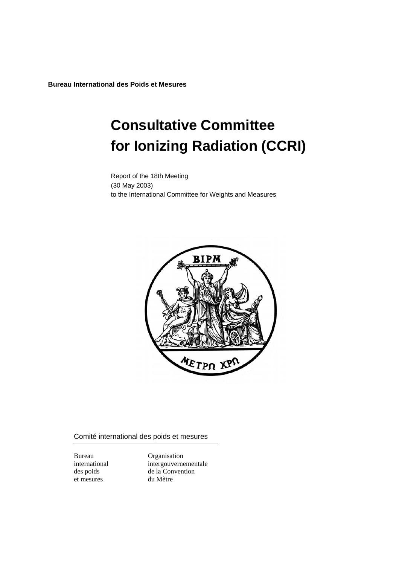**Bureau International des Poids et Mesures** 

# **Consultative Committee for Ionizing Radiation (CCRI)**

Report of the 18th Meeting (30 May 2003) to the International Committee for Weights and Measures



Comité international des poids et mesures

et mesures

Bureau Organisation international intergouvernementale des poids de la Convention<br>et mesures du Mètre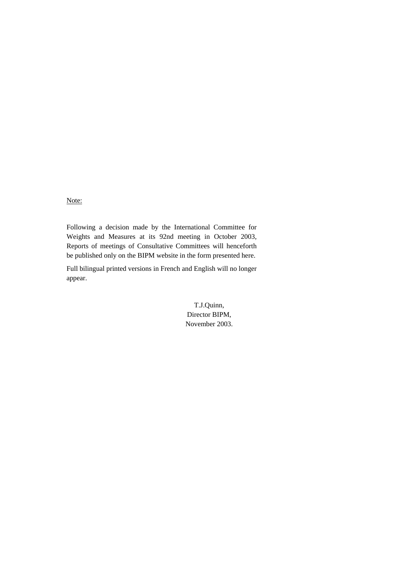Note:

Following a decision made by the International Committee for Weights and Measures at its 92nd meeting in October 2003, Reports of meetings of Consultative Committees will henceforth be published only on the BIPM website in the form presented here.

Full bilingual printed versions in French and English will no longer appear.

> T.J.Quinn, Director BIPM, November 2003.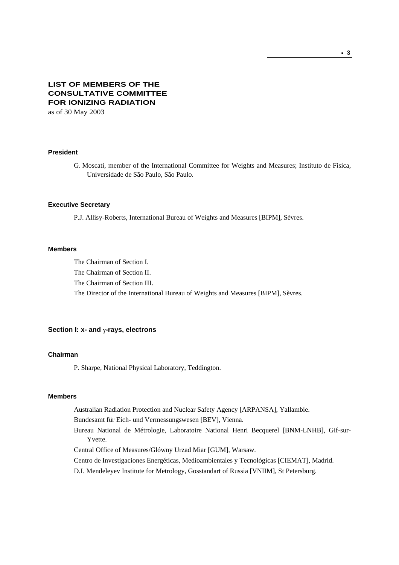# **LIST OF MEMBERS OF THE CONSULTATIVE COMMITTEE FOR IONIZING RADIATION**

as of 30 May 2003

### **President**

G. Moscati, member of the International Committee for Weights and Measures; Instituto de Fisica, Universidade de São Paulo, São Paulo.

#### **Executive Secretary**

P.J. Allisy-Roberts, International Bureau of Weights and Measures [BIPM], Sèvres.

#### **Members**

The Chairman of Section I.

The Chairman of Section II.

The Chairman of Section III.

The Director of the International Bureau of Weights and Measures [BIPM], Sèvres.

### **Section I: x- and** γ**-rays, electrons**

### **Chairman**

P. Sharpe, National Physical Laboratory, Teddington.

### **Members**

Australian Radiation Protection and Nuclear Safety Agency [ARPANSA], Yallambie.

Bundesamt für Eich- und Vermessungswesen [BEV], Vienna.

Bureau National de Métrologie, Laboratoire National Henri Becquerel [BNM-LNHB], Gif-sur-Yvette.

Central Office of Measures/Glówny Urzad Miar [GUM], Warsaw.

Centro de Investigaciones Energéticas, Medioambientales y Tecnológicas [CIEMAT], Madrid.

D.I. Mendeleyev Institute for Metrology, Gosstandart of Russia [VNIIM], St Petersburg.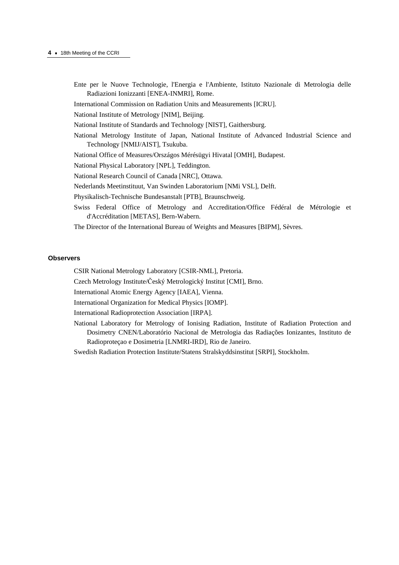- Ente per le Nuove Technologie, l'Energia e l'Ambiente, Istituto Nazionale di Metrologia delle Radiazioni Ionizzanti [ENEA-INMRI], Rome.
- International Commission on Radiation Units and Measurements [ICRU].

National Institute of Metrology [NIM], Beijing.

National Institute of Standards and Technology [NIST], Gaithersburg.

- National Metrology Institute of Japan, National Institute of Advanced Industrial Science and Technology [NMIJ/AIST], Tsukuba.
- National Office of Measures/Országos Mérésügyi Hivatal [OMH], Budapest.
- National Physical Laboratory [NPL], Teddington.
- National Research Council of Canada [NRC], Ottawa.
- Nederlands Meetinstituut, Van Swinden Laboratorium [NMi VSL], Delft.
- Physikalisch-Technische Bundesanstalt [PTB], Braunschweig.
- Swiss Federal Office of Metrology and Accreditation/Office Fédéral de Métrologie et d'Accréditation [METAS], Bern-Wabern.
- The Director of the International Bureau of Weights and Measures [BIPM], Sèvres.

#### **Observers**

- CSIR National Metrology Laboratory [CSIR-NML], Pretoria.
- Czech Metrology Institute/Český Metrologický Institut [CMI], Brno.
- International Atomic Energy Agency [IAEA], Vienna.
- International Organization for Medical Physics [IOMP].
- International Radioprotection Association [IRPA].
- National Laboratory for Metrology of Ionising Radiation, Institute of Radiation Protection and Dosimetry CNEN/Laboratório Nacional de Metrologia das Radiações Ionizantes, Instituto de Radioproteçao e Dosimetria [LNMRI-IRD], Rio de Janeiro.
- Swedish Radiation Protection Institute/Statens Stralskyddsinstitut [SRPI], Stockholm.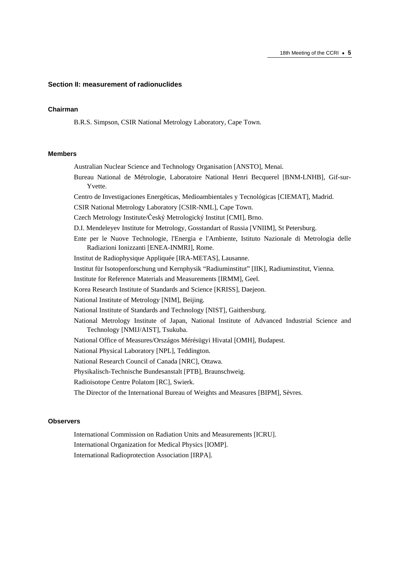#### **Section II: measurement of radionuclides**

### **Chairman**

B.R.S. Simpson, CSIR National Metrology Laboratory, Cape Town.

### **Members**

- Australian Nuclear Science and Technology Organisation [ANSTO], Menai.
- Bureau National de Métrologie, Laboratoire National Henri Becquerel [BNM-LNHB], Gif-sur-Yvette.
- Centro de Investigaciones Energéticas, Medioambientales y Tecnológicas [CIEMAT], Madrid.
- CSIR National Metrology Laboratory [CSIR-NML], Cape Town.
- Czech Metrology Institute/Český Metrologický Institut [CMI], Brno.
- D.I. Mendeleyev Institute for Metrology, Gosstandart of Russia [VNIIM], St Petersburg.
- Ente per le Nuove Technologie, l'Energia e l'Ambiente, Istituto Nazionale di Metrologia delle Radiazioni Ionizzanti [ENEA-INMRI], Rome.
- Institut de Radiophysique Appliquée [IRA-METAS], Lausanne.
- Institut für Isotopenforschung und Kernphysik "Radiuminstitut" [IIK], Radiuminstitut, Vienna.
- Institute for Reference Materials and Measurements [IRMM], Geel.
- Korea Research Institute of Standards and Science [KRISS], Daejeon.
- National Institute of Metrology [NIM], Beijing.
- National Institute of Standards and Technology [NIST], Gaithersburg.
- National Metrology Institute of Japan, National Institute of Advanced Industrial Science and Technology [NMIJ/AIST], Tsukuba.
- National Office of Measures/Országos Mérésügyi Hivatal [OMH], Budapest.
- National Physical Laboratory [NPL], Teddington.
- National Research Council of Canada [NRC], Ottawa.
- Physikalisch-Technische Bundesanstalt [PTB], Braunschweig.
- Radioisotope Centre Polatom [RC], Swierk.
- The Director of the International Bureau of Weights and Measures [BIPM], Sèvres.

#### **Observers**

- International Commission on Radiation Units and Measurements [ICRU]. International Organization for Medical Physics [IOMP].
- International Radioprotection Association [IRPA].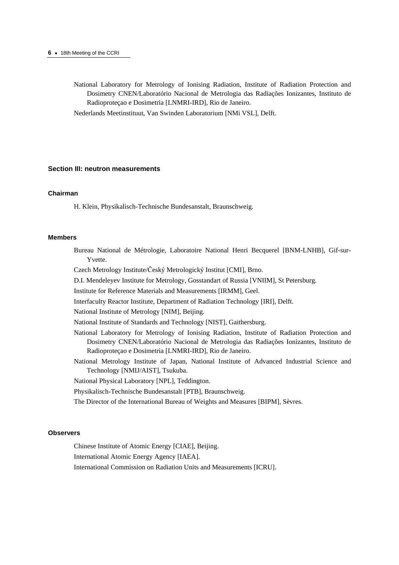National Laboratory for Metrology of Ionising Radiation, Institute of Radiation Protection and Dosimetry CNEN/Laboratório Nacional de Metrologia das Radiações Ionizantes, Instituto de Radioproteçao e Dosimetria [LNMRI-IRD], Rio de Janeiro.

Nederlands Meetinstituut, Van Swinden Laboratorium [NMi VSL], Delft.

#### **Section III: neutron measurements**

#### **Chairman**

H. Klein, Physikalisch-Technische Bundesanstalt, Braunschweig.

#### **Members**

Bureau National de Métrologie, Laboratoire National Henri Becquerel [BNM-LNHB], Gif-sur-Yvette.

Czech Metrology Institute/Český Metrologický Institut [CMI], Brno.

D.I. Mendeleyev Institute for Metrology, Gosstandart of Russia [VNIIM], St Petersburg.

Institute for Reference Materials and Measurements [IRMM], Geel.

Interfaculty Reactor Institute, Department of Radiation Technology [IRI], Delft.

National Institute of Metrology [NIM], Beijing.

National Institute of Standards and Technology [NIST], Gaithersburg.

- National Laboratory for Metrology of Ionising Radiation, Institute of Radiation Protection and Dosimetry CNEN/Laboratório Nacional de Metrologia das Radiações Ionizantes, Instituto de Radioproteçao e Dosimetria [LNMRI-IRD], Rio de Janeiro.
- National Metrology Institute of Japan, National Institute of Advanced Industrial Science and Technology [NMIJ/AIST], Tsukuba.
- National Physical Laboratory [NPL], Teddington.

Physikalisch-Technische Bundesanstalt [PTB], Braunschweig.

The Director of the International Bureau of Weights and Measures [BIPM], Sèvres.

#### **Observers**

Chinese Institute of Atomic Energy [CIAE], Beijing.

International Atomic Energy Agency [IAEA].

International Commission on Radiation Units and Measurements [ICRU].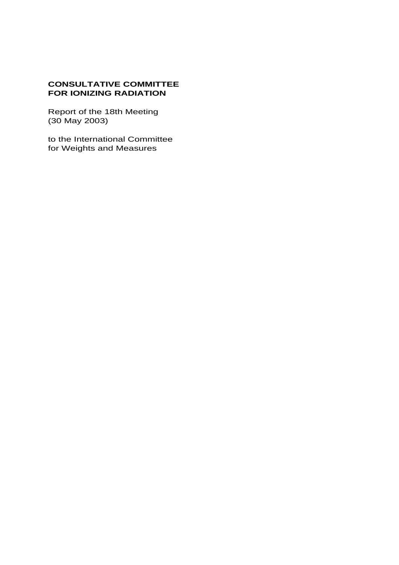# **CONSULTATIVE COMMITTEE FOR IONIZING RADIATION**

Report of the 18th Meeting (30 May 2003)

to the International Committee for Weights and Measures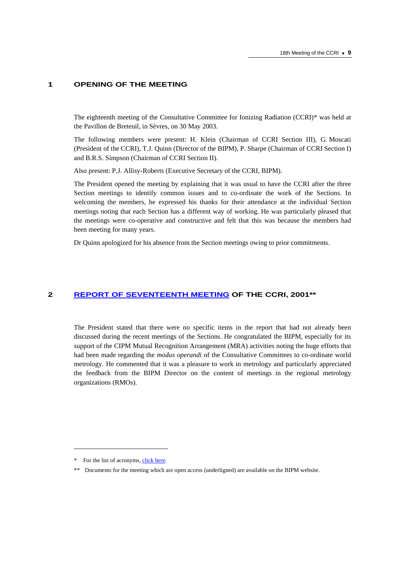# **1 OPENING OF THE MEETING**

The eighteenth meeting of the Consultative Committee for Ionizing Radiation (CCRI)\* was held at the Pavillon de Breteuil, in Sèvres, on 30 May 2003.

The following members were present: H. Klein (Chairman of CCRI Section III), G. Moscati (President of the CCRI), T.J. Quinn (Director of the BIPM), P. Sharpe (Chairman of CCRI Section I) and B.R.S. Simpson (Chairman of CCRI Section II).

Also present: P.J. Allisy-Roberts (Executive Secretary of the CCRI, BIPM).

The President opened the meeting by explaining that it was usual to have the CCRI after the three Section meetings to identify common issues and to co-ordinate the work of the Sections. In welcoming the members, he expressed his thanks for their attendance at the individual Section meetings noting that each Section has a different way of working. He was particularly pleased that the meetings were co-operative and constructive and felt that this was because the members had been meeting for many years.

Dr Quinn apologized for his absence from the Section meetings owing to prior commitments.

### **2 [REPORT OF SEVENTEENTH MEETING OF](https://www.bipm.org/en/committees/cc/ccri/publications_cc.html) THE CCRI, 2001\*\***

The President stated that there were no specific items in the report that had not already been discussed during the recent meetings of the Sections. He congratulated the BIPM, especially for its support of the CIPM Mutual Recognition Arrangement (MRA) activities noting the huge efforts that had been made regarding the *modus operandi* of the Consultative Committees to co-ordinate world metrology. He commented that it was a pleasure to work in metrology and particularly appreciated the feedback from the BIPM Director on the content of meetings in the regional metrology organizations (RMOs).

 $\overline{a}$ 

<sup>\*</sup> For the list of acronyms, [click here.](https://www.bipm.org/en/practical_info/acronyms.html) 

<sup>\*\*</sup> Documents for the meeting which are open access (underligned) are available on the BIPM website.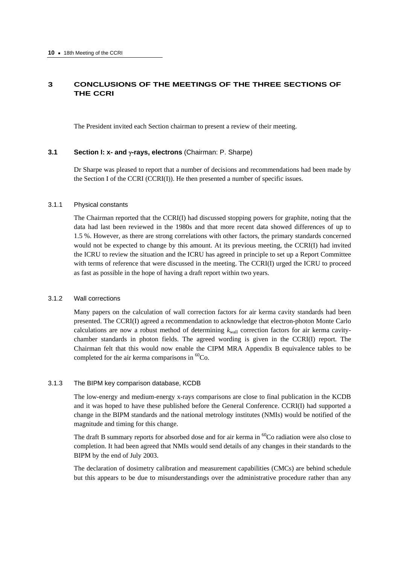# **3 CONCLUSIONS OF THE MEETINGS OF THE THREE SECTIONS OF THE CCRI**

The President invited each Section chairman to present a review of their meeting.

### **3.1 Section I: x- and** γ**-rays, electrons** (Chairman: P. Sharpe)

Dr Sharpe was pleased to report that a number of decisions and recommendations had been made by the Section I of the CCRI (CCRI(I)). He then presented a number of specific issues.

#### 3.1.1 Physical constants

The Chairman reported that the CCRI(I) had discussed stopping powers for graphite, noting that the data had last been reviewed in the 1980s and that more recent data showed differences of up to 1.5 %. However, as there are strong correlations with other factors, the primary standards concerned would not be expected to change by this amount. At its previous meeting, the CCRI(I) had invited the ICRU to review the situation and the ICRU has agreed in principle to set up a Report Committee with terms of reference that were discussed in the meeting. The CCRI(I) urged the ICRU to proceed as fast as possible in the hope of having a draft report within two years.

### 3.1.2 Wall corrections

Many papers on the calculation of wall correction factors for air kerma cavity standards had been presented. The CCRI(I) agreed a recommendation to acknowledge that electron-photon Monte Carlo calculations are now a robust method of determining  $k_{wall}$  correction factors for air kerma cavitychamber standards in photon fields. The agreed wording is given in the CCRI(I) report. The Chairman felt that this would now enable the CIPM MRA Appendix B equivalence tables to be completed for the air kerma comparisons in  ${}^{60}Co$ .

#### 3.1.3 The BIPM key comparison database, KCDB

The low-energy and medium-energy x-rays comparisons are close to final publication in the KCDB and it was hoped to have these published before the General Conference. CCRI(I) had supported a change in the BIPM standards and the national metrology institutes (NMIs) would be notified of the magnitude and timing for this change.

The draft B summary reports for absorbed dose and for air kerma in <sup>60</sup>Co radiation were also close to completion. It had been agreed that NMIs would send details of any changes in their standards to the BIPM by the end of July 2003.

The declaration of dosimetry calibration and measurement capabilities (CMCs) are behind schedule but this appears to be due to misunderstandings over the administrative procedure rather than any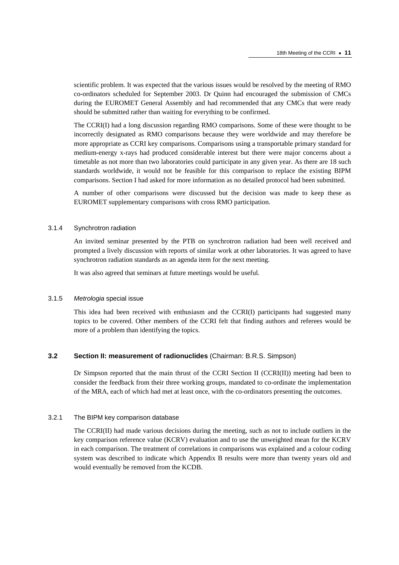scientific problem. It was expected that the various issues would be resolved by the meeting of RMO co-ordinators scheduled for September 2003. Dr Quinn had encouraged the submission of CMCs during the EUROMET General Assembly and had recommended that any CMCs that were ready should be submitted rather than waiting for everything to be confirmed.

The CCRI(I) had a long discussion regarding RMO comparisons. Some of these were thought to be incorrectly designated as RMO comparisons because they were worldwide and may therefore be more appropriate as CCRI key comparisons. Comparisons using a transportable primary standard for medium-energy x-rays had produced considerable interest but there were major concerns about a timetable as not more than two laboratories could participate in any given year. As there are 18 such standards worldwide, it would not be feasible for this comparison to replace the existing BIPM comparisons. Section I had asked for more information as no detailed protocol had been submitted.

A number of other comparisons were discussed but the decision was made to keep these as EUROMET supplementary comparisons with cross RMO participation.

#### 3.1.4 Synchrotron radiation

An invited seminar presented by the PTB on synchrotron radiation had been well received and prompted a lively discussion with reports of similar work at other laboratories. It was agreed to have synchrotron radiation standards as an agenda item for the next meeting.

It was also agreed that seminars at future meetings would be useful.

### 3.1.5 *Metrologia* special issue

This idea had been received with enthusiasm and the CCRI(I) participants had suggested many topics to be covered. Other members of the CCRI felt that finding authors and referees would be more of a problem than identifying the topics.

#### **3.2 Section II: measurement of radionuclides** (Chairman: B.R.S. Simpson)

Dr Simpson reported that the main thrust of the CCRI Section II (CCRI(II)) meeting had been to consider the feedback from their three working groups, mandated to co-ordinate the implementation of the MRA, each of which had met at least once, with the co-ordinators presenting the outcomes.

#### 3.2.1 The BIPM key comparison database

The CCRI(II) had made various decisions during the meeting, such as not to include outliers in the key comparison reference value (KCRV) evaluation and to use the unweighted mean for the KCRV in each comparison. The treatment of correlations in comparisons was explained and a colour coding system was described to indicate which Appendix B results were more than twenty years old and would eventually be removed from the KCDB.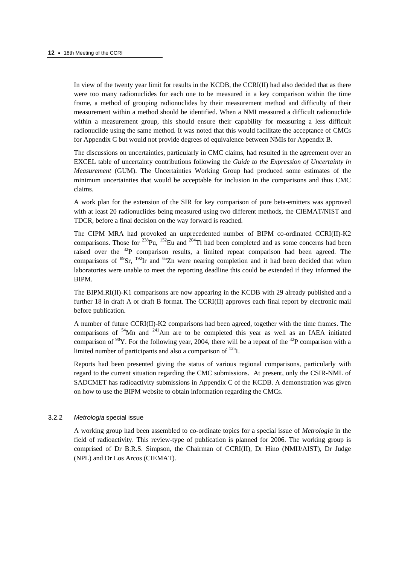In view of the twenty year limit for results in the KCDB, the CCRI(II) had also decided that as there were too many radionuclides for each one to be measured in a key comparison within the time frame, a method of grouping radionuclides by their measurement method and difficulty of their measurement within a method should be identified. When a NMI measured a difficult radionuclide within a measurement group, this should ensure their capability for measuring a less difficult radionuclide using the same method. It was noted that this would facilitate the acceptance of CMCs for Appendix C but would not provide degrees of equivalence between NMIs for Appendix B.

The discussions on uncertainties, particularly in CMC claims, had resulted in the agreement over an EXCEL table of uncertainty contributions following the *Guide to the Expression of Uncertainty in Measurement* (GUM). The Uncertainties Working Group had produced some estimates of the minimum uncertainties that would be acceptable for inclusion in the comparisons and thus CMC claims.

A work plan for the extension of the SIR for key comparison of pure beta-emitters was approved with at least 20 radionuclides being measured using two different methods, the CIEMAT/NIST and TDCR, before a final decision on the way forward is reached.

The CIPM MRA had provoked an unprecedented number of BIPM co-ordinated CCRI(II)-K2 comparisons. Those for <sup>238</sup>Pu, <sup>152</sup>Eu and <sup>204</sup>Tl had been completed and as some concerns had been raised over the 32P comparison results, a limited repeat comparison had been agreed. The comparisons of  ${}^{89}Sr$ ,  ${}^{192}Ir$  and  ${}^{65}Zn$  were nearing completion and it had been decided that when laboratories were unable to meet the reporting deadline this could be extended if they informed the BIPM.

The BIPM.RI(II)-K1 comparisons are now appearing in the KCDB with 29 already published and a further 18 in draft A or draft B format. The CCRI(II) approves each final report by electronic mail before publication.

A number of future CCRI(II)-K2 comparisons had been agreed, together with the time frames. The comparisons of  $54$ Mn and  $241$ Am are to be completed this year as well as an IAEA initiated comparison of  $^{90}Y$ . For the following year, 2004, there will be a repeat of the  $^{32}P$  comparison with a limited number of participants and also a comparison of  $^{125}$ I.

Reports had been presented giving the status of various regional comparisons, particularly with regard to the current situation regarding the CMC submissions. At present, only the CSIR-NML of SADCMET has radioactivity submissions in Appendix C of the KCDB. A demonstration was given on how to use the BIPM website to obtain information regarding the CMCs.

#### 3.2.2 *Metrologia* special issue

A working group had been assembled to co-ordinate topics for a special issue of *Metrologia* in the field of radioactivity. This review-type of publication is planned for 2006. The working group is comprised of Dr B.R.S. Simpson, the Chairman of CCRI(II), Dr Hino (NMIJ/AIST), Dr Judge (NPL) and Dr Los Arcos (CIEMAT).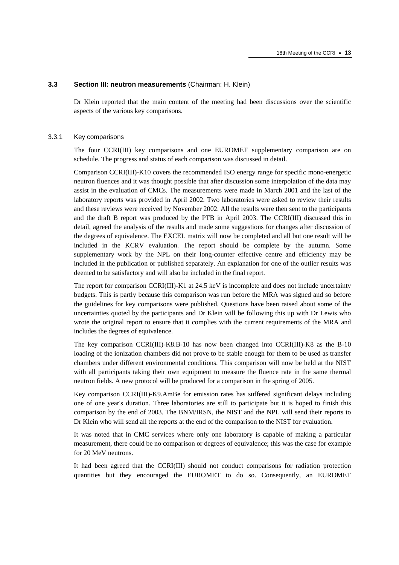#### **3.3 Section III: neutron measurements** (Chairman: H. Klein)

Dr Klein reported that the main content of the meeting had been discussions over the scientific aspects of the various key comparisons.

#### 3.3.1 Key comparisons

The four CCRI(III) key comparisons and one EUROMET supplementary comparison are on schedule. The progress and status of each comparison was discussed in detail.

Comparison CCRI(III)-K10 covers the recommended ISO energy range for specific mono-energetic neutron fluences and it was thought possible that after discussion some interpolation of the data may assist in the evaluation of CMCs. The measurements were made in March 2001 and the last of the laboratory reports was provided in April 2002. Two laboratories were asked to review their results and these reviews were received by November 2002. All the results were then sent to the participants and the draft B report was produced by the PTB in April 2003. The CCRI(III) discussed this in detail, agreed the analysis of the results and made some suggestions for changes after discussion of the degrees of equivalence. The EXCEL matrix will now be completed and all but one result will be included in the KCRV evaluation. The report should be complete by the autumn. Some supplementary work by the NPL on their long-counter effective centre and efficiency may be included in the publication or published separately. An explanation for one of the outlier results was deemed to be satisfactory and will also be included in the final report.

The report for comparison CCRI(III)-K1 at 24.5 keV is incomplete and does not include uncertainty budgets. This is partly because this comparison was run before the MRA was signed and so before the guidelines for key comparisons were published. Questions have been raised about some of the uncertainties quoted by the participants and Dr Klein will be following this up with Dr Lewis who wrote the original report to ensure that it complies with the current requirements of the MRA and includes the degrees of equivalence.

The key comparison CCRI(III)-K8.B-10 has now been changed into CCRI(III)-K8 as the B-10 loading of the ionization chambers did not prove to be stable enough for them to be used as transfer chambers under different environmental conditions. This comparison will now be held at the NIST with all participants taking their own equipment to measure the fluence rate in the same thermal neutron fields. A new protocol will be produced for a comparison in the spring of 2005.

Key comparison CCRI(III)-K9.AmBe for emission rates has suffered significant delays including one of one year's duration. Three laboratories are still to participate but it is hoped to finish this comparison by the end of 2003. The BNM/IRSN, the NIST and the NPL will send their reports to Dr Klein who will send all the reports at the end of the comparison to the NIST for evaluation.

It was noted that in CMC services where only one laboratory is capable of making a particular measurement, there could be no comparison or degrees of equivalence; this was the case for example for 20 MeV neutrons.

It had been agreed that the CCRI(III) should not conduct comparisons for radiation protection quantities but they encouraged the EUROMET to do so. Consequently, an EUROMET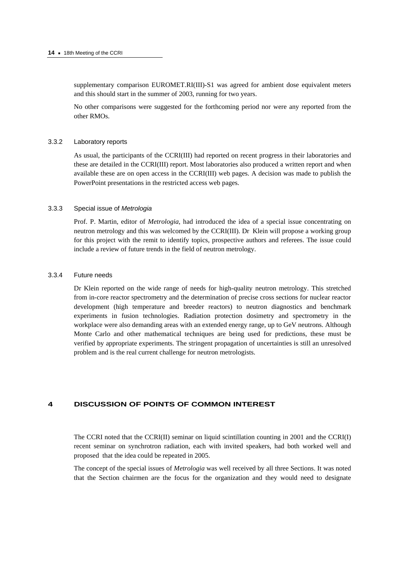supplementary comparison EUROMET.RI(III)-S1 was agreed for ambient dose equivalent meters and this should start in the summer of 2003, running for two years.

No other comparisons were suggested for the forthcoming period nor were any reported from the other RMOs.

#### 3.3.2 Laboratory reports

As usual, the participants of the CCRI(III) had reported on recent progress in their laboratories and these are detailed in the CCRI(III) report. Most laboratories also produced a written report and when available these are on open access in the CCRI(III) web pages. A decision was made to publish the PowerPoint presentations in the restricted access web pages.

### 3.3.3 Special issue of *Metrologia*

Prof. P. Martin, editor of *Metrologia*, had introduced the idea of a special issue concentrating on neutron metrology and this was welcomed by the CCRI(III). Dr Klein will propose a working group for this project with the remit to identify topics, prospective authors and referees. The issue could include a review of future trends in the field of neutron metrology.

### 3.3.4 Future needs

Dr Klein reported on the wide range of needs for high-quality neutron metrology. This stretched from in-core reactor spectrometry and the determination of precise cross sections for nuclear reactor development (high temperature and breeder reactors) to neutron diagnostics and benchmark experiments in fusion technologies. Radiation protection dosimetry and spectrometry in the workplace were also demanding areas with an extended energy range, up to GeV neutrons. Although Monte Carlo and other mathematical techniques are being used for predictions, these must be verified by appropriate experiments. The stringent propagation of uncertainties is still an unresolved problem and is the real current challenge for neutron metrologists.

# **4 DISCUSSION OF POINTS OF COMMON INTEREST**

The CCRI noted that the CCRI(II) seminar on liquid scintillation counting in 2001 and the CCRI(I) recent seminar on synchrotron radiation, each with invited speakers, had both worked well and proposed that the idea could be repeated in 2005.

The concept of the special issues of *Metrologia* was well received by all three Sections. It was noted that the Section chairmen are the focus for the organization and they would need to designate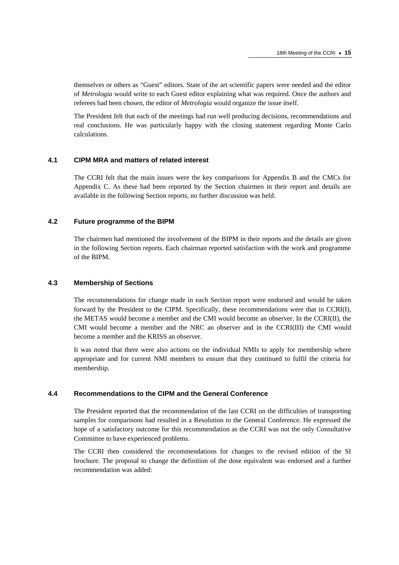themselves or others as "Guest" editors. State of the art scientific papers were needed and the editor of *Metrologia* would write to each Guest editor explaining what was required. Once the authors and referees had been chosen, the editor of *Metrologia* would organize the issue itself.

The President felt that each of the meetings had run well producing decisions, recommendations and real conclusions. He was particularly happy with the closing statement regarding Monte Carlo calculations.

### **4.1 CIPM MRA and matters of related interest**

The CCRI felt that the main issues were the key comparisons for Appendix B and the CMCs for Appendix C. As these had been reported by the Section chairmen in their report and details are available in the following Section reports, no further discussion was held.

### **4.2 Future programme of the BIPM**

The chairmen had mentioned the involvement of the BIPM in their reports and the details are given in the following Section reports. Each chairman reported satisfaction with the work and programme of the BIPM.

# **4.3 Membership of Sections**

The recommendations for change made in each Section report were endorsed and would be taken forward by the President to the CIPM. Specifically, these recommendations were that in CCRI(I), the METAS would become a member and the CMI would become an observer. In the CCRI(II), the CMI would become a member and the NRC an observer and in the CCRI(III) the CMI would become a member and the KRISS an observer.

It was noted that there were also actions on the individual NMIs to apply for membership where appropriate and for current NMI members to ensure that they continued to fulfil the criteria for membership.

### **4.4 Recommendations to the CIPM and the General Conference**

The President reported that the recommendation of the last CCRI on the difficulties of transporting samples for comparisons had resulted in a Resolution to the General Conference. He expressed the hope of a satisfactory outcome for this recommendation as the CCRI was not the only Consultative Committee to have experienced problems.

The CCRI then considered the recommendations for changes to the revised edition of the SI brochure. The proposal to change the definition of the dose equivalent was endorsed and a further recommendation was added: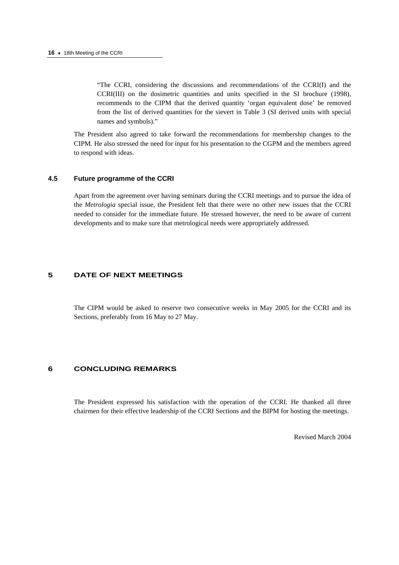"The CCRI, considering the discussions and recommendations of the CCRI(I) and the CCRI(III) on the dosimetric quantities and units specified in the SI brochure (1998), recommends to the CIPM that the derived quantity 'organ equivalent dose' be removed from the list of derived quantities for the sievert in Table 3 (SI derived units with special names and symbols)."

The President also agreed to take forward the recommendations for membership changes to the CIPM. He also stressed the need for input for his presentation to the CGPM and the members agreed to respond with ideas.

### **4.5 Future programme of the CCRI**

Apart from the agreement over having seminars during the CCRI meetings and to pursue the idea of the *Metrologia* special issue, the President felt that there were no other new issues that the CCRI needed to consider for the immediate future. He stressed however, the need to be aware of current developments and to make sure that metrological needs were appropriately addressed.

# **5 DATE OF NEXT MEETINGS**

The CIPM would be asked to reserve two consecutive weeks in May 2005 for the CCRI and its Sections, preferably from 16 May to 27 May.

### **6 CONCLUDING REMARKS**

The President expressed his satisfaction with the operation of the CCRI. He thanked all three chairmen for their effective leadership of the CCRI Sections and the BIPM for hosting the meetings.

Revised March 2004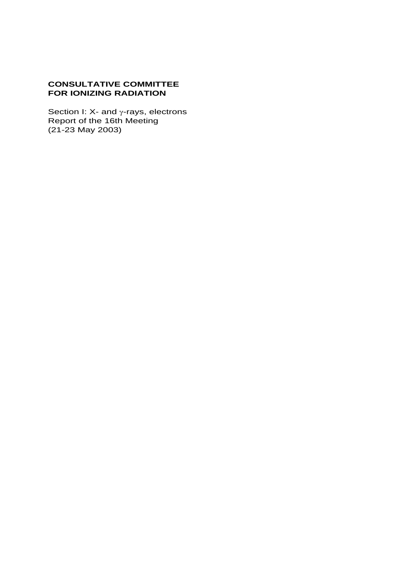# **CONSULTATIVE COMMITTEE FOR IONIZING RADIATION**

Section I: X- and  $\gamma$ -rays, electrons Report of the 16th Meeting (21-23 May 2003)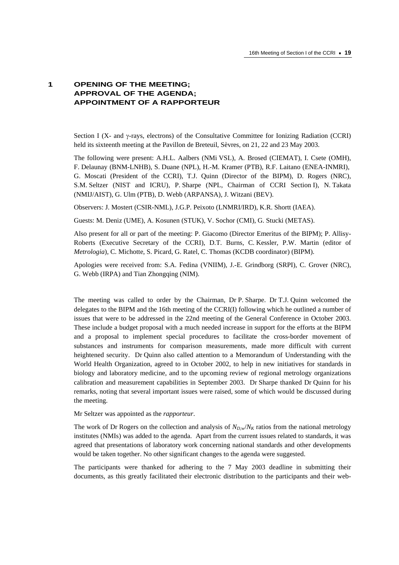# **1 OPENING OF THE MEETING; APPROVAL OF THE AGENDA; APPOINTMENT OF A RAPPORTEUR**

Section I (X- and γ-rays, electrons) of the Consultative Committee for Ionizing Radiation (CCRI) held its sixteenth meeting at the Pavillon de Breteuil, Sèvres, on 21, 22 and 23 May 2003.

The following were present: A.H.L. Aalbers (NMi VSL), A. Brosed (CIEMAT), I. Csete (OMH), F. Delaunay (BNM-LNHB), S. Duane (NPL), H.-M. Kramer (PTB), R.F. Laitano (ENEA-INMRI), G. Moscati (President of the CCRI), T.J. Quinn (Director of the BIPM), D. Rogers (NRC), S.M. Seltzer (NIST and ICRU), P. Sharpe (NPL, Chairman of CCRI Section I), N. Takata (NMIJ/AIST), G. Ulm (PTB), D. Webb (ARPANSA), J. Witzani (BEV).

Observers: J. Mostert (CSIR-NML), J.G.P. Peixoto (LNMRI/IRD), K.R. Shortt (IAEA).

Guests: M. Deniz (UME), A. Kosunen (STUK), V. Sochor (CMI), G. Stucki (METAS).

Also present for all or part of the meeting: P. Giacomo (Director Emeritus of the BIPM); P. Allisy-Roberts (Executive Secretary of the CCRI), D.T. Burns, C. Kessler, P.W. Martin (editor of *Metrologia*), C. Michotte, S. Picard, G. Ratel, C. Thomas (KCDB coordinator) (BIPM).

Apologies were received from: S.A. Fedina (VNIIM), J.-E. Grindborg (SRPI), C. Grover (NRC), G. Webb (IRPA) and Tian Zhongqing (NIM).

The meeting was called to order by the Chairman, Dr P. Sharpe. Dr T.J. Quinn welcomed the delegates to the BIPM and the 16th meeting of the CCRI(I) following which he outlined a number of issues that were to be addressed in the 22nd meeting of the General Conference in October 2003. These include a budget proposal with a much needed increase in support for the efforts at the BIPM and a proposal to implement special procedures to facilitate the cross-border movement of substances and instruments for comparison measurements, made more difficult with current heightened security. Dr Quinn also called attention to a Memorandum of Understanding with the World Health Organization, agreed to in October 2002, to help in new initiatives for standards in biology and laboratory medicine, and to the upcoming review of regional metrology organizations calibration and measurement capabilities in September 2003. Dr Sharpe thanked Dr Quinn for his remarks, noting that several important issues were raised, some of which would be discussed during the meeting.

Mr Seltzer was appointed as the *rapporteur*.

The work of Dr Rogers on the collection and analysis of  $N_{D,w}/N_K$  ratios from the national metrology institutes (NMIs) was added to the agenda. Apart from the current issues related to standards, it was agreed that presentations of laboratory work concerning national standards and other developments would be taken together. No other significant changes to the agenda were suggested.

The participants were thanked for adhering to the 7 May 2003 deadline in submitting their documents, as this greatly facilitated their electronic distribution to the participants and their web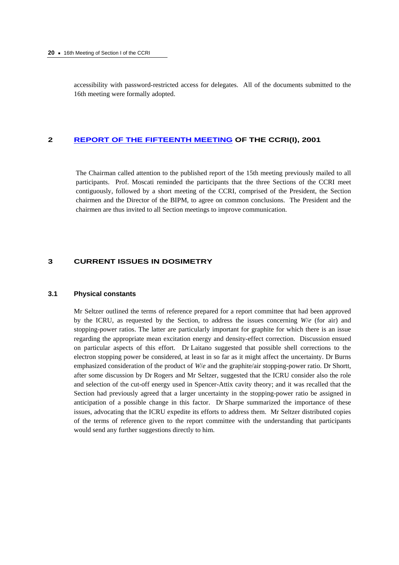accessibility with password-restricted access for delegates. All of the documents submitted to the 16th meeting were formally adopted.

### **2 [REPORT OF THE FIFTEENTH MEETING](https://www.bipm.org/en/committees/cc/ccri/publications_cc.html) OF THE CCRI(I), 2001**

The Chairman called attention to the published report of the 15th meeting previously mailed to all participants. Prof. Moscati reminded the participants that the three Sections of the CCRI meet contiguously, followed by a short meeting of the CCRI, comprised of the President, the Section chairmen and the Director of the BIPM, to agree on common conclusions. The President and the chairmen are thus invited to all Section meetings to improve communication.

# **3 CURRENT ISSUES IN DOSIMETRY**

### **3.1 Physical constants**

Mr Seltzer outlined the terms of reference prepared for a report committee that had been approved by the ICRU, as requested by the Section, to address the issues concerning *W*/*e* (for air) and stopping-power ratios. The latter are particularly important for graphite for which there is an issue regarding the appropriate mean excitation energy and density-effect correction. Discussion ensued on particular aspects of this effort. Dr Laitano suggested that possible shell corrections to the electron stopping power be considered, at least in so far as it might affect the uncertainty. Dr Burns emphasized consideration of the product of *W*/*e* and the graphite/air stopping-power ratio. Dr Shortt, after some discussion by Dr Rogers and Mr Seltzer, suggested that the ICRU consider also the role and selection of the cut-off energy used in Spencer-Attix cavity theory; and it was recalled that the Section had previously agreed that a larger uncertainty in the stopping-power ratio be assigned in anticipation of a possible change in this factor. Dr Sharpe summarized the importance of these issues, advocating that the ICRU expedite its efforts to address them. Mr Seltzer distributed copies of the terms of reference given to the report committee with the understanding that participants would send any further suggestions directly to him.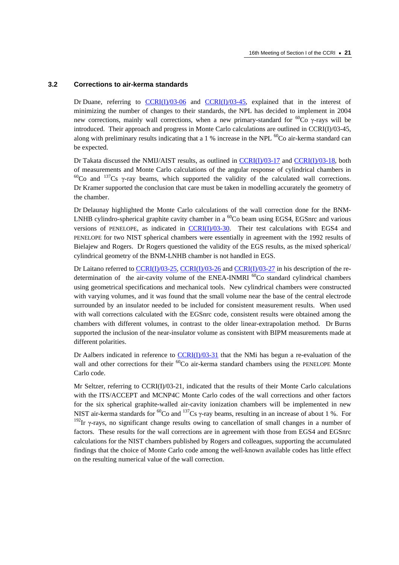#### **3.2 Corrections to air-kerma standards**

Dr Duane, referring to  $CCRI(I)/03-06$  and  $CCRI(I)/03-45$ , explained that in the interest of minimizing the number of changes to their standards, the NPL has decided to implement in 2004 new corrections, mainly wall corrections, when a new primary-standard for <sup>60</sup>Co γ-rays will be introduced. Their approach and progress in Monte Carlo calculations are outlined in CCRI(I)/03-45, along with preliminary results indicating that a 1 % increase in the NPL  $^{60}$ Co air-kerma standard can be expected.

Dr Takata discussed the NMIJ/AIST results, as outlined in  $\frac{CCRI(I)/03-17}{2}$  and  $\frac{CCRI(I)/03-18}{2}$ , both of measurements and Monte Carlo calculations of the angular response of cylindrical chambers in  $^{60}$ Co and  $^{137}$ Cs γ-ray beams, which supported the validity of the calculated wall corrections. Dr Kramer supported the conclusion that care must be taken in modelling accurately the geometry of the chamber.

Dr Delaunay highlighted the Monte Carlo calculations of the wall correction done for the BNM-LNHB cylindro-spherical graphite cavity chamber in a  ${}^{60}Co$  beam using EGS4, EGSnrc and various versions of PENELOPE, as indicated in  $CCRI(I)/03-30$ . Their test calculations with EGS4 and PENELOPE for two NIST spherical chambers were essentially in agreement with the 1992 results of Bielajew and Rogers. Dr Rogers questioned the validity of the EGS results, as the mixed spherical/ cylindrical geometry of the BNM-LNHB chamber is not handled in EGS.

Dr Laitano referred [to CCRI\(I\)/03-25,](https://www.bipm.org/cc/CCRI(I)/Allowed/16/CCRI(I)03-25.pdf) [CCRI\(I\)/03-26 a](https://www.bipm.org/cc/CCRI(I)/Allowed/16/CCRI(I)03-26.pdf)n[d CCRI\(I\)/03-27](https://www.bipm.org/cc/CCRI(I)/Allowed/16/CCRI(I)03-27.pdf) in his description of the redetermination of the air-cavity volume of the ENEA-INMRI  $^{60}$ Co standard cylindrical chambers using geometrical specifications and mechanical tools. New cylindrical chambers were constructed with varying volumes, and it was found that the small volume near the base of the central electrode surrounded by an insulator needed to be included for consistent measurement results. When used with wall corrections calculated with the EGSnrc code, consistent results were obtained among the chambers with different volumes, in contrast to the older linear-extrapolation method. Dr Burns supported the inclusion of the near-insulator volume as consistent with BIPM measurements made at different polarities.

Dr Aalbers indicated in reference to  $CCRI(J)/03-31$  that the NMi has begun a re-evaluation of the wall and other corrections for their <sup>60</sup>Co air-kerma standard chambers using the PENELOPE Monte Carlo code.

Mr Seltzer, referring to CCRI(I)/03-21, indicated that the results of their Monte Carlo calculations with the ITS/ACCEPT and MCNP4C Monte Carlo codes of the wall corrections and other factors for the six spherical graphite-walled air-cavity ionization chambers will be implemented in new NIST air-kerma standards for <sup>60</sup>Co and <sup>137</sup>Cs γ-ray beams, resulting in an increase of about 1 %. For  $192$ Ir γ-rays, no significant change results owing to cancellation of small changes in a number of factors. These results for the wall corrections are in agreement with those from EGS4 and EGSnrc calculations for the NIST chambers published by Rogers and colleagues, supporting the accumulated findings that the choice of Monte Carlo code among the well-known available codes has little effect on the resulting numerical value of the wall correction.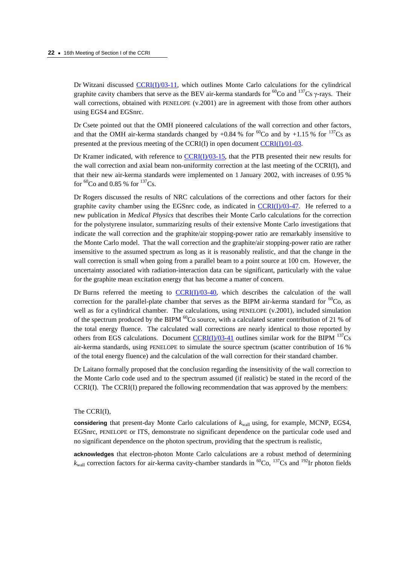Dr Witzani discusse[d CCRI\(I\)/03-11, w](https://www.bipm.org/cc/CCRI(I)/Allowed/16/CCRI(I)03-11.pdf)hich outlines Monte Carlo calculations for the cylindrical graphite cavity chambers that serve as the BEV air-kerma standards for <sup>60</sup>Co and <sup>137</sup>Cs γ-rays. Their wall corrections, obtained with PENELOPE (v.2001) are in agreement with those from other authors using EGS4 and EGSnrc.

Dr Csete pointed out that the OMH pioneered calculations of the wall correction and other factors, and that the OMH air-kerma standards changed by +0.84 % for  ${}^{60}Co$  and by +1.15 % for  ${}^{137}Cs$  as presented at the previous meeting of the CCRI(I) in open docum[ent CCRI\(I\)/01-03.](https://www.bipm.org/cc/CCRI(I)/Allowed/15/CCRI(I)01-03.pdf) 

Dr Kramer indicated, with reference to  $\frac{CCRI(J)/03-15}{A}$ , that the PTB presented their new results for the wall correction and axial beam non-uniformity correction at the last meeting of the CCRI(I), and that their new air-kerma standards were implemented on 1 January 2002, with increases of 0.95 % for  ${}^{60}$ Co and 0.85 % for  ${}^{137}$ Cs.

Dr Rogers discussed the results of NRC calculations of the corrections and other factors for their graphite cavity chamber using the EGSnrc code, as indicated in  $CCRI(I)/03-47$ . He referred to a new publication in *Medical Physics* that describes their Monte Carlo calculations for the correction for the polystyrene insulator, summarizing results of their extensive Monte Carlo investigations that indicate the wall correction and the graphite/air stopping-power ratio are remarkably insensitive to the Monte Carlo model. That the wall correction and the graphite/air stopping-power ratio are rather insensitive to the assumed spectrum as long as it is reasonably realistic, and that the change in the wall correction is small when going from a parallel beam to a point source at 100 cm. However, the uncertainty associated with radiation-interaction data can be significant, particularly with the value for the graphite mean excitation energy that has become a matter of concern.

Dr Burns referred the meeting to  $CCRI(J)/03-40$ , which describes the calculation of the wall correction for the parallel-plate chamber that serves as the BIPM air-kerma standard for  ${}^{60}Co$ , as well as for a cylindrical chamber. The calculations, using PENELOPE (v.2001), included simulation of the spectrum produced by the BIPM  ${}^{60}$ Co source, with a calculated scatter contribution of 21 % of the total energy fluence. The calculated wall corrections are nearly identical to those reported by others from EGS calculations. Document  $\frac{CCR(I)/03-41}{O(1)}$  outlines similar work for the BIPM  $^{137}Cs$ air-kerma standards, using PENELOPE to simulate the source spectrum (scatter contribution of 16 % of the total energy fluence) and the calculation of the wall correction for their standard chamber.

Dr Laitano formally proposed that the conclusion regarding the insensitivity of the wall correction to the Monte Carlo code used and to the spectrum assumed (if realistic) be stated in the record of the CCRI(I). The CCRI(I) prepared the following recommendation that was approved by the members:

#### The CCRI(I),

considering that present-day Monte Carlo calculations of  $k_{\text{wall}}$  using, for example, MCNP, EGS4, EGSnrc, PENELOPE or ITS, demonstrate no significant dependence on the particular code used and no significant dependence on the photon spectrum, providing that the spectrum is realistic,

**acknowledges** that electron-photon Monte Carlo calculations are a robust method of determining  $k_{\text{wall}}$  correction factors for air-kerma cavity-chamber standards in <sup>60</sup>Co, <sup>137</sup>Cs and <sup>192</sup>Ir photon fields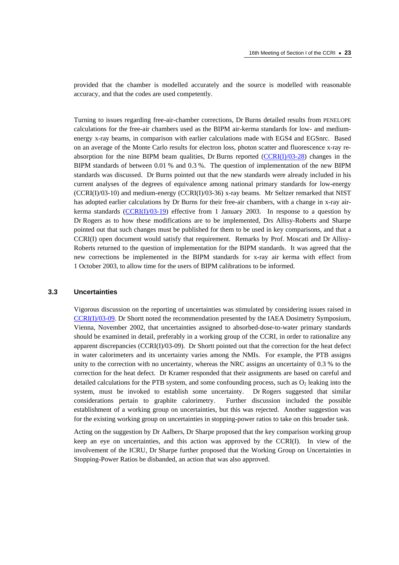provided that the chamber is modelled accurately and the source is modelled with reasonable accuracy, and that the codes are used competently.

Turning to issues regarding free-air-chamber corrections, Dr Burns detailed results from PENELOPE calculations for the free-air chambers used as the BIPM air-kerma standards for low- and mediumenergy x-ray beams, in comparison with earlier calculations made with EGS4 and EGSnrc. Based on an average of the Monte Carlo results for electron loss, photon scatter and fluorescence x-ray reabsorption for the nine BIPM beam qualities, Dr Burns reported  $(CCRI(I)/03-28)$  changes in the BIPM standards of between 0.01 % and 0.3 %. The question of implementation of the new BIPM standards was discussed. Dr Burns pointed out that the new standards were already included in his current analyses of the degrees of equivalence among national primary standards for low-energy  $(CCRI(I)/03-10)$  and medium-energy  $(CCRI(I)/03-36)$  x-ray beams. Mr Seltzer remarked that NIST has adopted earlier calculations by Dr Burns for their free-air chambers, with a change in x-ray airkerma standards  $(CCRI(1)/03-19)$  effective from 1 January 2003. In response to a question by Dr Rogers as to how these modifications are to be implemented, Drs Allisy-Roberts and Sharpe pointed out that such changes must be published for them to be used in key comparisons, and that a CCRI(I) open document would satisfy that requirement. Remarks by Prof. Moscati and Dr Allisy-Roberts returned to the question of implementation for the BIPM standards. It was agreed that the new corrections be implemented in the BIPM standards for x-ray air kerma with effect from 1 October 2003, to allow time for the users of BIPM calibrations to be informed.

#### **3.3 Uncertainties**

Vigorous discussion on the reporting of uncertainties was stimulated by considering issues raised in [CCRI\(I\)/03-09. D](https://www.bipm.org/cc/CCRI(I)/Allowed/16/CCRI(I)03-09.pdf)r Shortt noted the recommendation presented by the IAEA Dosimetry Symposium, Vienna, November 2002, that uncertainties assigned to absorbed-dose-to-water primary standards should be examined in detail, preferably in a working group of the CCRI, in order to rationalize any apparent discrepancies (CCRI(I)/03-09). Dr Shortt pointed out that the correction for the heat defect in water calorimeters and its uncertainty varies among the NMIs. For example, the PTB assigns unity to the correction with no uncertainty, whereas the NRC assigns an uncertainty of 0.3 % to the correction for the heat defect. Dr Kramer responded that their assignments are based on careful and detailed calculations for the PTB system, and some confounding process, such as  $O_2$  leaking into the system, must be invoked to establish some uncertainty. Dr Rogers suggested that similar considerations pertain to graphite calorimetry. Further discussion included the possible establishment of a working group on uncertainties, but this was rejected. Another suggestion was for the existing working group on uncertainties in stopping-power ratios to take on this broader task.

Acting on the suggestion by Dr Aalbers, Dr Sharpe proposed that the key comparison working group keep an eye on uncertainties, and this action was approved by the CCRI(I). In view of the involvement of the ICRU, Dr Sharpe further proposed that the Working Group on Uncertainties in Stopping-Power Ratios be disbanded, an action that was also approved.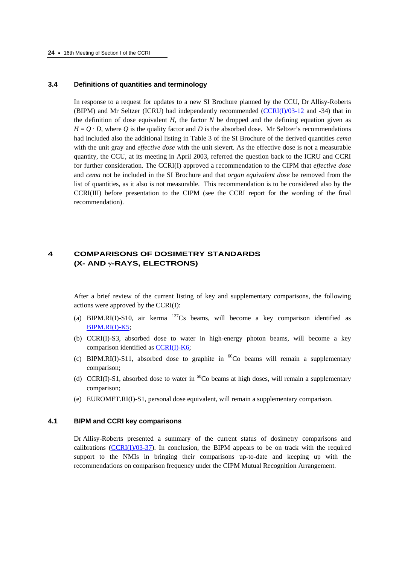#### **3.4 Definitions of quantities and terminology**

In response to a request for updates to a new SI Brochure planned by the CCU, Dr Allisy-Roberts (BIPM) and Mr Seltzer (ICRU) had independently recommended [\(CCRI\(I\)/03-12 an](https://www.bipm.org/cc/CCRI(I)/Allowed/16/CCRI(I)03-12.pdf)d -34) that in the definition of dose equivalent  $H$ , the factor  $N$  be dropped and the defining equation given as  $H = O \cdot D$ , where *Q* is the quality factor and *D* is the absorbed dose. Mr Seltzer's recommendations had included also the additional listing in Table 3 of the SI Brochure of the derived quantities *cema* with the unit gray and *effective dose* with the unit sievert. As the effective dose is not a measurable quantity, the CCU, at its meeting in April 2003, referred the question back to the ICRU and CCRI for further consideration. The CCRI(I) approved a recommendation to the CIPM that *effective dose* and *cema* not be included in the SI Brochure and that *organ equivalent dose* be removed from the list of quantities, as it also is not measurable. This recommendation is to be considered also by the CCRI(III) before presentation to the CIPM (see the CCRI report for the wording of the final recommendation).

# **4 COMPARISONS OF DOSIMETRY STANDARDS (X- AND** γ**-RAYS, ELECTRONS)**

After a brief review of the current listing of key and supplementary comparisons, the following actions were approved by the CCRI(I):

- (a) BIPM.RI(I)-S10, air kerma  $^{137}Cs$  beams, will become a key comparison identified as [BIPM.RI\(I\)-K5;](http://kcdb.bipm.org//AppendixB/KCDB_ApB_info.asp?cmp_idy=384&cmp_cod=BIPM%2ERI%28I%29%2DK5&page=1&search=1&cmp_cod_search=&met_idy=4&bra_idy=17&epo_idy=0&cmt_idy=1&ett_idy_org=0&lab_idy=0)
- (b) CCRI(I)-S3, absorbed dose to water in high-energy photon beams, will become a key comparison identified as CCRI(I)-K6;
- (c) BIPM.RI(I)-S11, absorbed dose to graphite in  ${}^{60}Co$  beams will remain a supplementary comparison;
- (d) CCRI(I)-S1, absorbed dose to water in  ${}^{60}Co$  beams at high doses, will remain a supplementary comparison;
- (e) EUROMET.RI(I)-S1, personal dose equivalent, will remain a supplementary comparison.

#### **4.1 BIPM and CCRI key comparisons**

Dr Allisy-Roberts presented a summary of the current status of dosimetry comparisons and calibrations ( $CCRI(I)/03-37$ ). In conclusion, the BIPM appears to be on track with the required support to the NMIs in bringing their comparisons up-to-date and keeping up with the recommendations on comparison frequency under the CIPM Mutual Recognition Arrangement.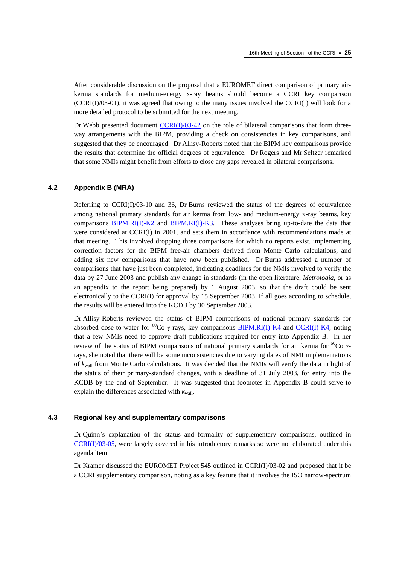After considerable discussion on the proposal that a EUROMET direct comparison of primary airkerma standards for medium-energy x-ray beams should become a CCRI key comparison (CCRI(I)/03-01), it was agreed that owing to the many issues involved the CCRI(I) will look for a more detailed protocol to be submitted for the next meeting.

Dr Webb presented document  $CCRI(I)/03-42$  on the role of bilateral comparisons that form threeway arrangements with the BIPM, providing a check on consistencies in key comparisons, and suggested that they be encouraged. Dr Allisy-Roberts noted that the BIPM key comparisons provide the results that determine the official degrees of equivalence. Dr Rogers and Mr Seltzer remarked that some NMIs might benefit from efforts to close any gaps revealed in bilateral comparisons.

# **4.2 Appendix B (MRA)**

Referring to  $CCRI(J)/03-10$  and 36, Dr Burns reviewed the status of the degrees of equivalence among national primary standards for air kerma from low- and medium-energy x-ray beams, key comparisons [BIPM.RI\(I\)-K2 a](http://kcdb.bipm.org//AppendixB/KCDB_ApB_info.asp?cmp_idy=381&cmp_cod=BIPM%2ERI%28I%29%2DK2&page=1&search=1&cmp_cod_search=&met_idy=4&bra_idy=17&epo_idy=0&cmt_idy=1&ett_idy_org=0&lab_idy=0)n[d BIPM.RI\(I\)-K3.](http://kcdb.bipm.org//AppendixB/KCDB_ApB_info.asp?cmp_idy=382&cmp_cod=BIPM%2ERI%28I%29%2DK3&page=1&search=1&cmp_cod_search=&met_idy=4&bra_idy=17&epo_idy=0&cmt_idy=1&ett_idy_org=0&lab_idy=0) These analyses bring up-to-date the data that were considered at CCRI(I) in 2001, and sets them in accordance with recommendations made at that meeting. This involved dropping three comparisons for which no reports exist, implementing correction factors for the BIPM free-air chambers derived from Monte Carlo calculations, and adding six new comparisons that have now been published. Dr Burns addressed a number of comparisons that have just been completed, indicating deadlines for the NMIs involved to verify the data by 27 June 2003 and publish any change in standards (in the open literature, *Metrologia*, or as an appendix to the report being prepared) by 1 August 2003, so that the draft could be sent electronically to the CCRI(I) for approval by 15 September 2003. If all goes according to schedule, the results will be entered into the KCDB by 30 September 2003.

Dr Allisy-Roberts reviewed the status of BIPM comparisons of national primary standards for absorbed dose-to-water for  ${}^{60}Co$  γ-rays, key comparison[s BIPM.RI\(I\)-K4 a](http://kcdb.bipm.org//AppendixB/KCDB_ApB_info.asp?cmp_idy=383&cmp_cod=BIPM%2ERI%28I%29%2DK4&page=1&search=1&cmp_cod_search=&met_idy=4&bra_idy=17&epo_idy=0&cmt_idy=1&ett_idy_org=0&lab_idy=0)n[d CCRI\(I\)-K4, n](http://kcdb.bipm.org//AppendixB/KCDB_ApB_info.asp?cmp_idy=386&cmp_cod=CCRI%28I%29%2DK4&page=2&search=1&cmp_cod_search=&met_idy=4&bra_idy=17&epo_idy=0&cmt_idy=1&ett_idy_org=0&lab_idy=0)oting that a few NMIs need to approve draft publications required for entry into Appendix B. In her review of the status of BIPM comparisons of national primary standards for air kerma for <sup>60</sup>Co γrays, she noted that there will be some inconsistencies due to varying dates of NMI implementations of *k*wall from Monte Carlo calculations. It was decided that the NMIs will verify the data in light of the status of their primary-standard changes, with a deadline of 31 July 2003, for entry into the KCDB by the end of September. It was suggested that footnotes in Appendix B could serve to explain the differences associated with  $k_{\text{wall}}$ .

# **4.3 Regional key and supplementary comparisons**

Dr Quinn's explanation of the status and formality of supplementary comparisons, outlined in [CCRI\(I\)/03-05, w](https://www.bipm.org/cc/CCRI(I)/Allowed/16/CCRI(I)03-05.pdf)ere largely covered in his introductory remarks so were not elaborated under this agenda item.

Dr Kramer discussed the EUROMET Project 545 outlined in CCRI(I)/03-02 and proposed that it be a CCRI supplementary comparison, noting as a key feature that it involves the ISO narrow-spectrum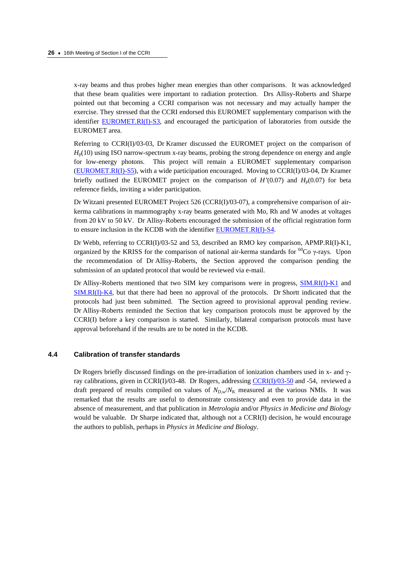x-ray beams and thus probes higher mean energies than other comparisons. It was acknowledged that these beam qualities were important to radiation protection. Drs Allisy-Roberts and Sharpe pointed out that becoming a CCRI comparison was not necessary and may actually hamper the exercise. They stressed that the CCRI endorsed this EUROMET supplementary comparison with the identifi[er EUROMET.RI\(I\)-S3, a](http://kcdb.bipm.org//AppendixB/KCDB_ApB_info.asp?cmp_idy=565&cmp_cod=EUROMET%2ERI%28I%29%2DS3&page=1&search=1&cmp_cod_search=&met_idy=4&bra_idy=17&epo_idy=0&cmt_idy=2&ett_idy_org=0&lab_idy=0)nd encouraged the participation of laboratories from outside the EUROMET area.

Referring to CCRI(I)/03-03, Dr Kramer discussed the EUROMET project on the comparison of  $H<sub>p</sub>(10)$  using ISO narrow-spectrum x-ray beams, probing the strong dependence on energy and angle for low-energy photons. This project will remain a EUROMET supplementary comparison [\(EUROMET.RI\(I\)-S5\),](http://kcdb.bipm.org//AppendixB/KCDB_ApB_info.asp?cmp_idy=584&cmp_cod=EUROMET%2ERI%28I%29%2DS5&page=2&search=1&cmp_cod_search=&met_idy=4&bra_idy=17&epo_idy=0&cmt_idy=2&ett_idy_org=0&lab_idy=0) with a wide participation encouraged. Moving to CCRI(I)/03-04, Dr Kramer briefly outlined the EUROMET project on the comparison of  $H'(0.07)$  and  $H<sub>p</sub>(0.07)$  for beta reference fields, inviting a wider participation.

Dr Witzani presented EUROMET Project 526 (CCRI(I)/03-07), a comprehensive comparison of airkerma calibrations in mammography x-ray beams generated with Mo, Rh and W anodes at voltages from 20 kV to 50 kV. Dr Allisy-Roberts encouraged the submission of the official registration form to ensure inclusion in the KCDB with the identifi[er EUROMET.RI\(I\)-S4.](http://kcdb.bipm.org//AppendixB/KCDB_ApB_info.asp?cmp_idy=566&cmp_cod=EUROMET%2ERI%28I%29%2DS4&page=2&search=1&cmp_cod_search=&met_idy=4&bra_idy=17&epo_idy=0&cmt_idy=2&ett_idy_org=0&lab_idy=0) 

Dr Webb, referring to CCRI(I)/03-52 and 53, described an RMO key comparison, APMP.RI(I)-K1, organized by the KRISS for the comparison of national air-kerma standards for <sup>60</sup>Co γ-rays. Upon the recommendation of Dr Allisy-Roberts, the Section approved the comparison pending the submission of an updated protocol that would be reviewed via e-mail.

Dr Allisy-Roberts mentioned that two SIM key comparisons were in progress, [SIM.RI\(I\)-K1 a](http://kcdb.bipm.org//AppendixB/KCDB_ApB_info.asp?cmp_idy=567&cmp_cod=SIM%2ERI%28I%29%2DK1&page=1&search=1&cmp_cod_search=&met_idy=4&bra_idy=17&epo_idy=0&cmt_idy=1&ett_idy_org=5&lab_idy=0)nd [SIM.RI\(I\)-K4, b](http://kcdb.bipm.org//AppendixB/KCDB_ApB_info.asp?cmp_idy=568&cmp_cod=SIM%2ERI%28I%29%2DK4&page=1&search=1&cmp_cod_search=&met_idy=4&bra_idy=17&epo_idy=0&cmt_idy=1&ett_idy_org=5&lab_idy=0)ut that there had been no approval of the protocols. Dr Shortt indicated that the protocols had just been submitted. The Section agreed to provisional approval pending review. Dr Allisy-Roberts reminded the Section that key comparison protocols must be approved by the CCRI(I) before a key comparison is started. Similarly, bilateral comparison protocols must have approval beforehand if the results are to be noted in the KCDB.

### **4.4 Calibration of transfer standards**

Dr Rogers briefly discussed findings on the pre-irradiation of ionization chambers used in x- and  $\gamma$ ray calibrations, given in CCRI(I)/03-48. Dr Rogers, addressin[g CCRI\(I\)/03-50 a](https://www.bipm.org/cc/CCRI(I)/Allowed/16/CCRI(I)03-50.pdf)nd -54, reviewed a draft prepared of results compiled on values of  $N_{D,w}/N_{K}$  measured at the various NMIs. It was remarked that the results are useful to demonstrate consistency and even to provide data in the absence of measurement, and that publication in *Metrologia* and/or *Physics in Medicine and Biology* would be valuable. Dr Sharpe indicated that, although not a CCRI(I) decision, he would encourage the authors to publish, perhaps in *Physics in Medicine and Biology*.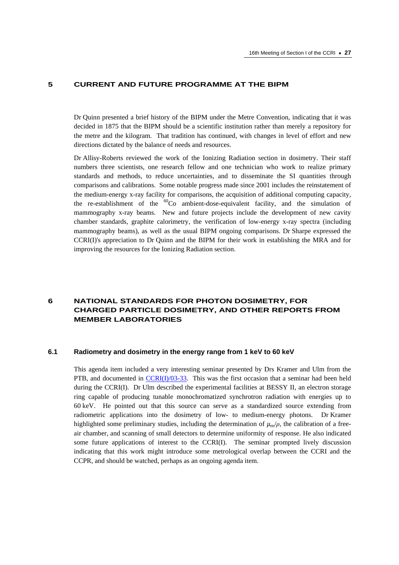# **5 CURRENT AND FUTURE PROGRAMME AT THE BIPM**

Dr Quinn presented a brief history of the BIPM under the Metre Convention, indicating that it was decided in 1875 that the BIPM should be a scientific institution rather than merely a repository for the metre and the kilogram. That tradition has continued, with changes in level of effort and new directions dictated by the balance of needs and resources.

Dr Allisy-Roberts reviewed the work of the Ionizing Radiation section in dosimetry. Their staff numbers three scientists, one research fellow and one technician who work to realize primary standards and methods, to reduce uncertainties, and to disseminate the SI quantities through comparisons and calibrations. Some notable progress made since 2001 includes the reinstatement of the medium-energy x-ray facility for comparisons, the acquisition of additional computing capacity, the re-establishment of the  ${}^{60}Co$  ambient-dose-equivalent facility, and the simulation of mammography x-ray beams. New and future projects include the development of new cavity chamber standards, graphite calorimetry, the verification of low-energy x-ray spectra (including mammography beams), as well as the usual BIPM ongoing comparisons. Dr Sharpe expressed the CCRI(I)'s appreciation to Dr Quinn and the BIPM for their work in establishing the MRA and for improving the resources for the Ionizing Radiation section.

# **6 NATIONAL STANDARDS FOR PHOTON DOSIMETRY, FOR CHARGED PARTICLE DOSIMETRY, AND OTHER REPORTS FROM MEMBER LABORATORIES**

### **6.1 Radiometry and dosimetry in the energy range from 1 keV to 60 keV**

This agenda item included a very interesting seminar presented by Drs Kramer and Ulm from the PTB, and documented [in CCRI\(I\)/03-33.](https://www.bipm.org/cc/CCRI(I)/Allowed/16/CCRI(I)03-33.pdf) This was the first occasion that a seminar had been held during the CCRI(I). Dr Ulm described the experimental facilities at BESSY II, an electron storage ring capable of producing tunable monochromatized synchrotron radiation with energies up to 60 keV. He pointed out that this source can serve as a standardized source extending from radiometric applications into the dosimetry of low- to medium-energy photons. Dr Kramer highlighted some preliminary studies, including the determination of  $\mu_{\rm ep}/\rho$ , the calibration of a freeair chamber, and scanning of small detectors to determine uniformity of response. He also indicated some future applications of interest to the CCRI(I). The seminar prompted lively discussion indicating that this work might introduce some metrological overlap between the CCRI and the CCPR, and should be watched, perhaps as an ongoing agenda item.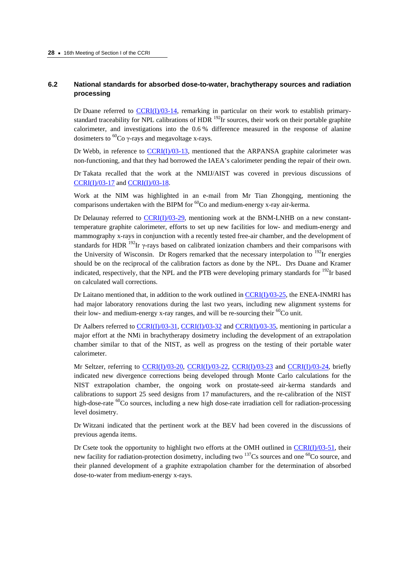# **6.2 National standards for absorbed dose-to-water, brachytherapy sources and radiation processing**

Dr Duane referred to  $CCRI(I)/03-14$ , remarking in particular on their work to establish primarystandard traceability for NPL calibrations of HDR <sup>192</sup>Ir sources, their work on their portable graphite calorimeter, and investigations into the 0.6 % difference measured in the response of alanine dosimeters to  ${}^{60}Co$  γ-rays and megavoltage x-rays.

Dr Webb, in reference to [CCRI\(I\)/03-13,](https://www.bipm.org/cc/CCRI(I)/Allowed/16/CCRI(I)03-13.pdf) mentioned that the ARPANSA graphite calorimeter was non-functioning, and that they had borrowed the IAEA's calorimeter pending the repair of their own.

Dr Takata recalled that the work at the NMIJ/AIST was covered in previous discussions of [CCRI\(I\)/03-17 a](https://www.bipm.org/cc/CCRI(I)/Allowed/16/CCRI(I)03-17.pdf)n[d CCRI\(I\)/03-18.](https://www.bipm.org/cc/CCRI(I)/Allowed/16/CCRI(I)03-18.pdf) 

Work at the NIM was highlighted in an e-mail from Mr Tian Zhongqing, mentioning the comparisons undertaken with the BIPM for  ${}^{60}Co$  and medium-energy x-ray air-kerma.

Dr Delaunay referred to [CCRI\(I\)/03-29, m](https://www.bipm.org/cc/CCRI(I)/Allowed/16/CCRI(I)03-29.pdf)entioning work at the BNM-LNHB on a new constanttemperature graphite calorimeter, efforts to set up new facilities for low- and medium-energy and mammography x-rays in conjunction with a recently tested free-air chamber, and the development of standards for HDR  $^{192}$ Ir γ-rays based on calibrated ionization chambers and their comparisons with the University of Wisconsin. Dr Rogers remarked that the necessary interpolation to  $^{192}$ Ir energies should be on the reciprocal of the calibration factors as done by the NPL. Drs Duane and Kramer indicated, respectively, that the NPL and the PTB were developing primary standards for  $^{192}$ Ir based on calculated wall corrections.

Dr Laitano mentioned that, in addition to the work outlined in  $CCRI(J)/03-25$ , the ENEA-INMRI has had major laboratory renovations during the last two years, including new alignment systems for their low- and medium-energy x-ray ranges, and will be re-sourcing their  ${}^{60}Co$  unit.

Dr Aalbers referred t[o CCRI\(I\)/03-31,](https://www.bipm.org/cc/CCRI(I)/Allowed/16/CCRI(I)03-31.pdf) [CCRI\(I\)/03-32 a](https://www.bipm.org/cc/CCRI(I)/Allowed/16/CCRI(I)03-32.pdf)n[d CCRI\(I\)/03-35,](https://www.bipm.org/cc/CCRI(I)/Allowed/16/CCRI(I)03-35.pdf) mentioning in particular a major effort at the NMi in brachytherapy dosimetry including the development of an extrapolation chamber similar to that of the NIST, as well as progress on the testing of their portable water calorimeter.

Mr Seltzer, referring to  $CCRI(I)/03-20$ ,  $CCRI(I)/03-22$ ,  $CCRI(I)/03-23$  and  $CCRI(I)/03-24$ , briefly indicated new divergence corrections being developed through Monte Carlo calculations for the NIST extrapolation chamber, the ongoing work on prostate-seed air-kerma standards and calibrations to support 25 seed designs from 17 manufacturers, and the re-calibration of the NIST high-dose-rate  ${}^{60}$ Co sources, including a new high dose-rate irradiation cell for radiation-processing level dosimetry.

Dr Witzani indicated that the pertinent work at the BEV had been covered in the discussions of previous agenda items.

Dr Csete took the opportunity to highlight two efforts at the OMH outlined in  $CCRI(I)/03-51$ , their new facility for radiation-protection dosimetry, including two  $^{137}Cs$  sources and one  $^{60}Co$  source, and their planned development of a graphite extrapolation chamber for the determination of absorbed dose-to-water from medium-energy x-rays.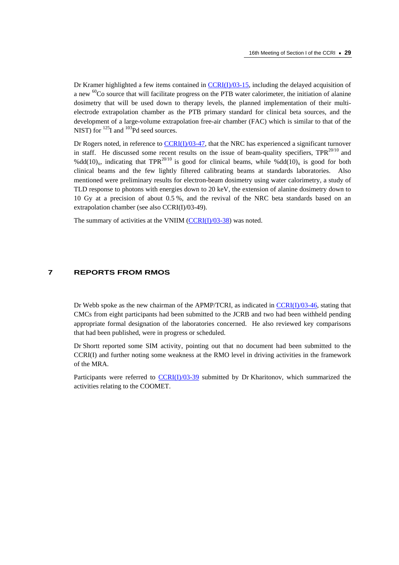Dr Kramer highlighted a few items contained i[n CCRI\(I\)/03-15, in](https://www.bipm.org/cc/CCRI(I)/Allowed/16/CCRI(I)03-15.pdf)cluding the delayed acquisition of a new <sup>60</sup>Co source that will facilitate progress on the PTB water calorimeter, the initiation of alanine dosimetry that will be used down to therapy levels, the planned implementation of their multielectrode extrapolation chamber as the PTB primary standard for clinical beta sources, and the development of a large-volume extrapolation free-air chamber (FAC) which is similar to that of the NIST) for  $^{125}$ I and  $^{103}$ Pd seed sources.

Dr Rogers noted, in reference t[o CCRI\(I\)/03-47, t](https://www.bipm.org/cc/CCRI(I)/Allowed/16/CCRI(I)03-47.pdf)hat the NRC has experienced a significant turnover in staff. He discussed some recent results on the issue of beam-quality specifiers,  $TPR^{20/10}$  and %dd(10)<sub>x</sub>, indicating that TPR<sup>20/10</sup> is good for clinical beams, while %dd(10)<sub>x</sub> is good for both clinical beams and the few lightly filtered calibrating beams at standards laboratories. Also mentioned were preliminary results for electron-beam dosimetry using water calorimetry, a study of TLD response to photons with energies down to 20 keV, the extension of alanine dosimetry down to 10 Gy at a precision of about 0.5 %, and the revival of the NRC beta standards based on an extrapolation chamber (see also CCRI(I)/03-49).

The summary of activities at the VNIIM [\(CCRI\(I\)/03-38\) w](https://www.bipm.org/cc/CCRI(I)/Allowed/16/CCRI(I)03-38.pdf)as noted.

### **7 REPORTS FROM RMOS**

Dr Webb spoke as the new chairman of the APMP/TCRI, as indicated i[n CCRI\(I\)/03-46, sta](https://www.bipm.org/cc/CCRI(I)/Allowed/16/CCRI(I)03-46.pdf)ting that CMCs from eight participants had been submitted to the JCRB and two had been withheld pending appropriate formal designation of the laboratories concerned. He also reviewed key comparisons that had been published, were in progress or scheduled.

Dr Shortt reported some SIM activity, pointing out that no document had been submitted to the CCRI(I) and further noting some weakness at the RMO level in driving activities in the framework of the MRA.

Participants were referred t[o CCRI\(I\)/03-39 su](https://www.bipm.org/cc/CCRI(I)/Allowed/16/CCRI(I)03-39.pdf)bmitted by Dr Kharitonov, which summarized the activities relating to the COOMET.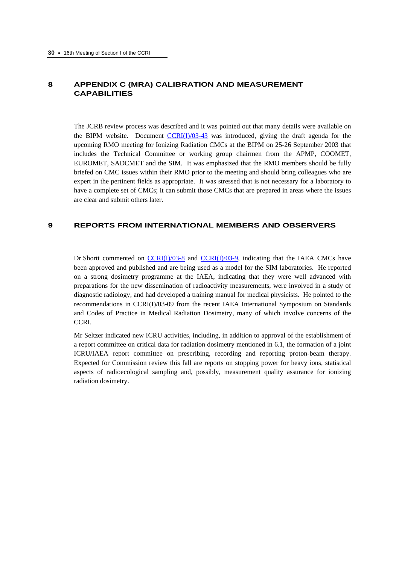# **8 APPENDIX C (MRA) CALIBRATION AND MEASUREMENT CAPABILITIES**

The JCRB review process was described and it was pointed out that many details were available on the BIPM website. Documen[t CCRI\(I\)/03-43 wa](https://www.bipm.org/cc/CCRI(I)/Allowed/16/CCRI(I)03-43.pdf)s introduced, giving the draft agenda for the upcoming RMO meeting for Ionizing Radiation CMCs at the BIPM on 25-26 September 2003 that includes the Technical Committee or working group chairmen from the APMP, COOMET, EUROMET, SADCMET and the SIM. It was emphasized that the RMO members should be fully briefed on CMC issues within their RMO prior to the meeting and should bring colleagues who are expert in the pertinent fields as appropriate. It was stressed that is not necessary for a laboratory to have a complete set of CMCs; it can submit those CMCs that are prepared in areas where the issues are clear and submit others later.

# **9 REPORTS FROM INTERNATIONAL MEMBERS AND OBSERVERS**

Dr Shortt commented on  $CCRI(I)/03-8$  and  $CCRI(I)/03-9$ , indicating that the IAEA CMCs have been approved and published and are being used as a model for the SIM laboratories. He reported on a strong dosimetry programme at the IAEA, indicating that they were well advanced with preparations for the new dissemination of radioactivity measurements, were involved in a study of diagnostic radiology, and had developed a training manual for medical physicists. He pointed to the recommendations in CCRI(I)/03-09 from the recent IAEA International Symposium on Standards and Codes of Practice in Medical Radiation Dosimetry, many of which involve concerns of the CCRI.

Mr Seltzer indicated new ICRU activities, including, in addition to approval of the establishment of a report committee on critical data for radiation dosimetry mentioned in 6.1, the formation of a joint ICRU/IAEA report committee on prescribing, recording and reporting proton-beam therapy. Expected for Commission review this fall are reports on stopping power for heavy ions, statistical aspects of radioecological sampling and, possibly, measurement quality assurance for ionizing radiation dosimetry.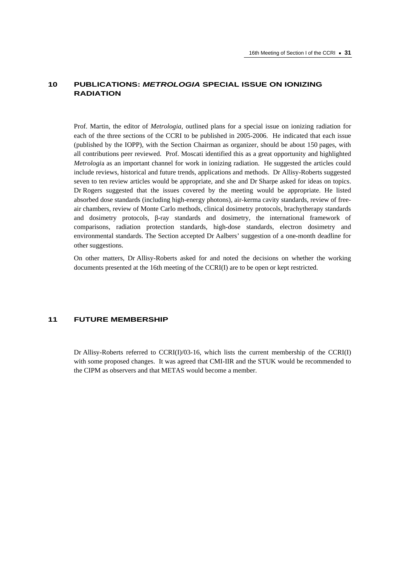# **10 PUBLICATIONS:** *METROLOGIA* **SPECIAL ISSUE ON IONIZING RADIATION**

Prof. Martin, the editor of *Metrologia*, outlined plans for a special issue on ionizing radiation for each of the three sections of the CCRI to be published in 2005-2006. He indicated that each issue (published by the IOPP), with the Section Chairman as organizer, should be about 150 pages, with all contributions peer reviewed. Prof. Moscati identified this as a great opportunity and highlighted *Metrologi*a as an important channel for work in ionizing radiation. He suggested the articles could include reviews, historical and future trends, applications and methods. Dr Allisy-Roberts suggested seven to ten review articles would be appropriate, and she and Dr Sharpe asked for ideas on topics. Dr Rogers suggested that the issues covered by the meeting would be appropriate. He listed absorbed dose standards (including high-energy photons), air-kerma cavity standards, review of freeair chambers, review of Monte Carlo methods, clinical dosimetry protocols, brachytherapy standards and dosimetry protocols, β-ray standards and dosimetry, the international framework of comparisons, radiation protection standards, high-dose standards, electron dosimetry and environmental standards. The Section accepted Dr Aalbers' suggestion of a one-month deadline for other suggestions.

On other matters, Dr Allisy-Roberts asked for and noted the decisions on whether the working documents presented at the 16th meeting of the CCRI(I) are to be open or kept restricted.

# **11 FUTURE MEMBERSHIP**

Dr Allisy-Roberts referred to CCRI(I)/03-16, which lists the current membership of the CCRI(I) with some proposed changes. It was agreed that CMI-IIR and the STUK would be recommended to the CIPM as observers and that METAS would become a member.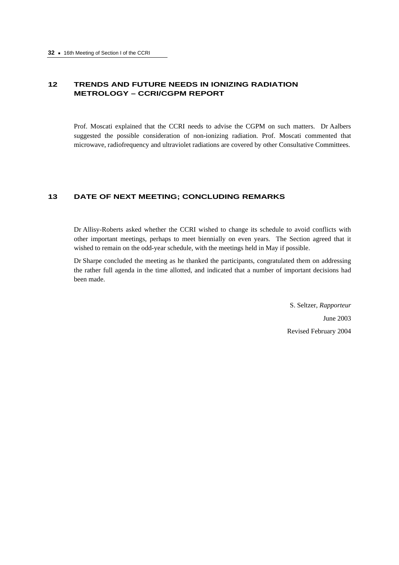# **12 TRENDS AND FUTURE NEEDS IN IONIZING RADIATION METROLOGY – CCRI/CGPM REPORT**

Prof. Moscati explained that the CCRI needs to advise the CGPM on such matters. Dr Aalbers suggested the possible consideration of non-ionizing radiation. Prof. Moscati commented that microwave, radiofrequency and ultraviolet radiations are covered by other Consultative Committees.

# **13 DATE OF NEXT MEETING; CONCLUDING REMARKS**

Dr Allisy-Roberts asked whether the CCRI wished to change its schedule to avoid conflicts with other important meetings, perhaps to meet biennially on even years. The Section agreed that it wished to remain on the odd-year schedule, with the meetings held in May if possible.

Dr Sharpe concluded the meeting as he thanked the participants, congratulated them on addressing the rather full agenda in the time allotted, and indicated that a number of important decisions had been made.

> S. Seltzer, *Rapporteur* June 2003 Revised February 2004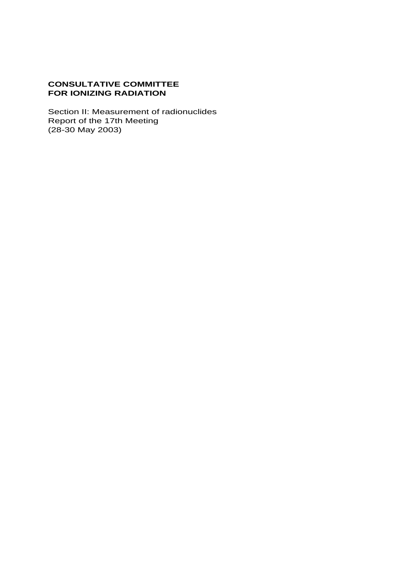# **CONSULTATIVE COMMITTEE FOR IONIZING RADIATION**

Section II: Measurement of radionuclides Report of the 17th Meeting (28-30 May 2003)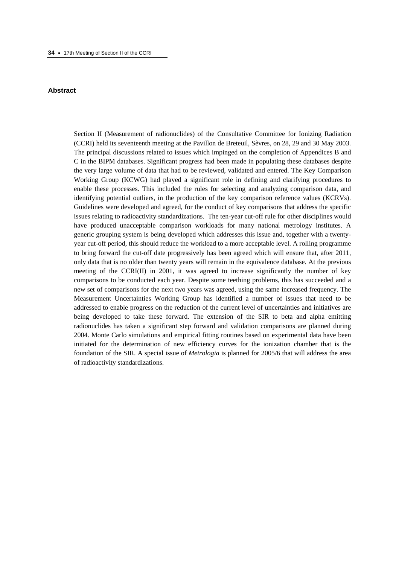#### **Abstract**

Section II (Measurement of radionuclides) of the Consultative Committee for Ionizing Radiation (CCRI) held its seventeenth meeting at the Pavillon de Breteuil, Sèvres, on 28, 29 and 30 May 2003. The principal discussions related to issues which impinged on the completion of Appendices B and C in the BIPM databases. Significant progress had been made in populating these databases despite the very large volume of data that had to be reviewed, validated and entered. The Key Comparison Working Group (KCWG) had played a significant role in defining and clarifying procedures to enable these processes. This included the rules for selecting and analyzing comparison data, and identifying potential outliers, in the production of the key comparison reference values (KCRVs). Guidelines were developed and agreed, for the conduct of key comparisons that address the specific issues relating to radioactivity standardizations. The ten-year cut-off rule for other disciplines would have produced unacceptable comparison workloads for many national metrology institutes. A generic grouping system is being developed which addresses this issue and, together with a twentyyear cut-off period, this should reduce the workload to a more acceptable level. A rolling programme to bring forward the cut-off date progressively has been agreed which will ensure that, after 2011, only data that is no older than twenty years will remain in the equivalence database. At the previous meeting of the CCRI(II) in 2001, it was agreed to increase significantly the number of key comparisons to be conducted each year. Despite some teething problems, this has succeeded and a new set of comparisons for the next two years was agreed, using the same increased frequency. The Measurement Uncertainties Working Group has identified a number of issues that need to be addressed to enable progress on the reduction of the current level of uncertainties and initiatives are being developed to take these forward. The extension of the SIR to beta and alpha emitting radionuclides has taken a significant step forward and validation comparisons are planned during 2004. Monte Carlo simulations and empirical fitting routines based on experimental data have been initiated for the determination of new efficiency curves for the ionization chamber that is the foundation of the SIR. A special issue of *Metrologia* is planned for 2005/6 that will address the area of radioactivity standardizations.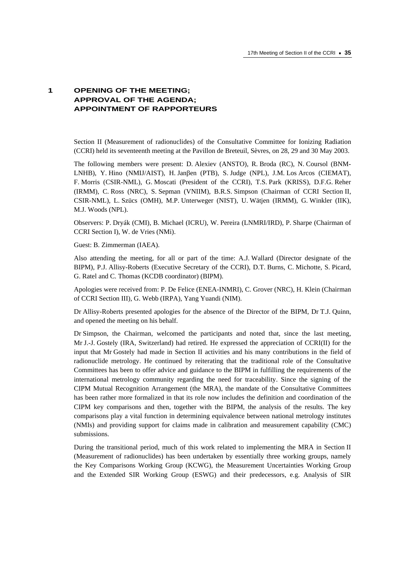# **1 OPENING OF THE MEETING; APPROVAL OF THE AGENDA; APPOINTMENT OF RAPPORTEURS**

Section II (Measurement of radionuclides) of the Consultative Committee for Ionizing Radiation (CCRI) held its seventeenth meeting at the Pavillon de Breteuil, Sèvres, on 28, 29 and 30 May 2003.

The following members were present: D. Alexiev (ANSTO), R. Broda (RC), N. Coursol (BNM-LNHB), Y. Hino (NMIJ/AIST), H. Janβen (PTB), S. Judge (NPL), J.M. Los Arcos (CIEMAT), F. Morris (CSIR-NML), G. Moscati (President of the CCRI), T.S. Park (KRISS), D.F.G. Reher (IRMM), C. Ross (NRC), S. Sepman (VNIIM), B.R.S. Simpson (Chairman of CCRI Section II, CSIR-NML), L. Szücs (OMH), M.P. Unterweger (NIST), U. Wätjen (IRMM), G. Winkler (IIK), M.J. Woods (NPL).

Observers: P. Dryák (CMI), B. Michael (ICRU), W. Pereira (LNMRI/IRD), P. Sharpe (Chairman of CCRI Section I), W. de Vries (NMi).

Guest: B. Zimmerman (IAEA).

Also attending the meeting, for all or part of the time: A.J. Wallard (Director designate of the BIPM), P.J. Allisy-Roberts (Executive Secretary of the CCRI), D.T. Burns, C. Michotte, S. Picard, G. Ratel and C. Thomas (KCDB coordinator) (BIPM).

Apologies were received from: P. De Felice (ENEA-INMRI), C. Grover (NRC), H. Klein (Chairman of CCRI Section III), G. Webb (IRPA), Yang Yuandi (NIM).

Dr Allisy-Roberts presented apologies for the absence of the Director of the BIPM, Dr T.J. Quinn, and opened the meeting on his behalf.

Dr Simpson, the Chairman, welcomed the participants and noted that, since the last meeting, Mr J.-J. Gostely (IRA, Switzerland) had retired. He expressed the appreciation of CCRI(II) for the input that Mr Gostely had made in Section II activities and his many contributions in the field of radionuclide metrology. He continued by reiterating that the traditional role of the Consultative Committees has been to offer advice and guidance to the BIPM in fulfilling the requirements of the international metrology community regarding the need for traceability. Since the signing of the CIPM Mutual Recognition Arrangement (the MRA), the mandate of the Consultative Committees has been rather more formalized in that its role now includes the definition and coordination of the CIPM key comparisons and then, together with the BIPM, the analysis of the results. The key comparisons play a vital function in determining equivalence between national metrology institutes (NMIs) and providing support for claims made in calibration and measurement capability (CMC) submissions.

During the transitional period, much of this work related to implementing the MRA in Section II (Measurement of radionuclides) has been undertaken by essentially three working groups, namely the Key Comparisons Working Group (KCWG), the Measurement Uncertainties Working Group and the Extended SIR Working Group (ESWG) and their predecessors, e.g. Analysis of SIR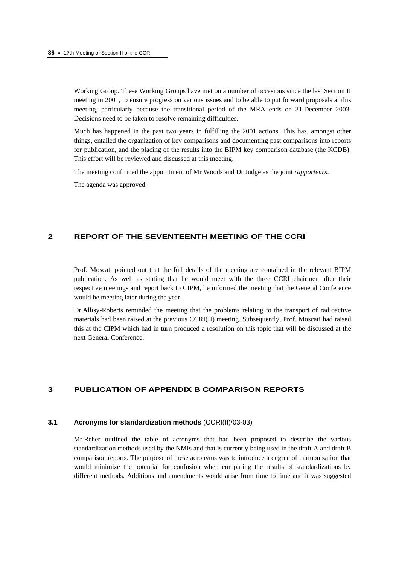Working Group. These Working Groups have met on a number of occasions since the last Section II meeting in 2001, to ensure progress on various issues and to be able to put forward proposals at this meeting, particularly because the transitional period of the MRA ends on 31 December 2003. Decisions need to be taken to resolve remaining difficulties.

Much has happened in the past two years in fulfilling the 2001 actions. This has, amongst other things, entailed the organization of key comparisons and documenting past comparisons into reports for publication, and the placing of the results into the BIPM key comparison database (the KCDB). This effort will be reviewed and discussed at this meeting.

The meeting confirmed the appointment of Mr Woods and Dr Judge as the joint *rapporteurs*.

The agenda was approved.

# **2 REPORT OF THE SEVENTEENTH MEETING OF THE CCRI**

Prof. Moscati pointed out that the full details of the meeting are contained in the relevant BIPM publication. As well as stating that he would meet with the three CCRI chairmen after their respective meetings and report back to CIPM, he informed the meeting that the General Conference would be meeting later during the year.

Dr Allisy-Roberts reminded the meeting that the problems relating to the transport of radioactive materials had been raised at the previous CCRI(II) meeting. Subsequently, Prof. Moscati had raised this at the CIPM which had in turn produced a resolution on this topic that will be discussed at the next General Conference.

## **3 PUBLICATION OF APPENDIX B COMPARISON REPORTS**

### **3.1 Acronyms for standardization methods** (CCRI(II)/03-03)

Mr Reher outlined the table of acronyms that had been proposed to describe the various standardization methods used by the NMIs and that is currently being used in the draft A and draft B comparison reports. The purpose of these acronyms was to introduce a degree of harmonization that would minimize the potential for confusion when comparing the results of standardizations by different methods. Additions and amendments would arise from time to time and it was suggested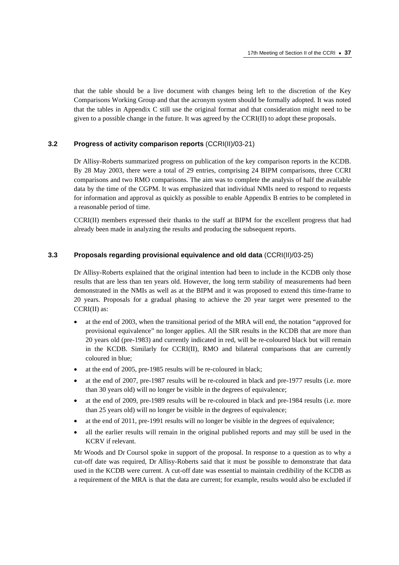that the table should be a live document with changes being left to the discretion of the Key Comparisons Working Group and that the acronym system should be formally adopted. It was noted that the tables in Appendix C still use the original format and that consideration might need to be given to a possible change in the future. It was agreed by the CCRI(II) to adopt these proposals.

# **3.2 Progress of activity comparison reports** (CCRI(II)/03-21)

Dr Allisy-Roberts summarized progress on publication of the key comparison reports in the KCDB. By 28 May 2003, there were a total of 29 entries, comprising 24 BIPM comparisons, three CCRI comparisons and two RMO comparisons. The aim was to complete the analysis of half the available data by the time of the CGPM. It was emphasized that individual NMIs need to respond to requests for information and approval as quickly as possible to enable Appendix B entries to be completed in a reasonable period of time.

CCRI(II) members expressed their thanks to the staff at BIPM for the excellent progress that had already been made in analyzing the results and producing the subsequent reports.

# **3.3 Proposals regarding provisional equivalence and old data** (CCRI(II)/03-25)

Dr Allisy-Roberts explained that the original intention had been to include in the KCDB only those results that are less than ten years old. However, the long term stability of measurements had been demonstrated in the NMIs as well as at the BIPM and it was proposed to extend this time-frame to 20 years. Proposals for a gradual phasing to achieve the 20 year target were presented to the CCRI(II) as:

- at the end of 2003, when the transitional period of the MRA will end, the notation "approved for provisional equivalence" no longer applies. All the SIR results in the KCDB that are more than 20 years old (pre-1983) and currently indicated in red, will be re-coloured black but will remain in the KCDB. Similarly for CCRI(II), RMO and bilateral comparisons that are currently coloured in blue;
- at the end of 2005, pre-1985 results will be re-coloured in black;
- at the end of 2007, pre-1987 results will be re-coloured in black and pre-1977 results (i.e. more than 30 years old) will no longer be visible in the degrees of equivalence;
- at the end of 2009, pre-1989 results will be re-coloured in black and pre-1984 results (i.e. more than 25 years old) will no longer be visible in the degrees of equivalence;
- at the end of 2011, pre-1991 results will no longer be visible in the degrees of equivalence;
- all the earlier results will remain in the original published reports and may still be used in the KCRV if relevant.

Mr Woods and Dr Coursol spoke in support of the proposal. In response to a question as to why a cut-off date was required, Dr Allisy-Roberts said that it must be possible to demonstrate that data used in the KCDB were current. A cut-off date was essential to maintain credibility of the KCDB as a requirement of the MRA is that the data are current; for example, results would also be excluded if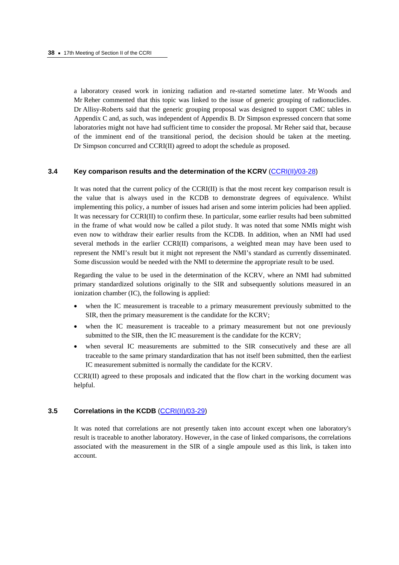a laboratory ceased work in ionizing radiation and re-started sometime later. Mr Woods and Mr Reher commented that this topic was linked to the issue of generic grouping of radionuclides. Dr Allisy-Roberts said that the generic grouping proposal was designed to support CMC tables in Appendix C and, as such, was independent of Appendix B. Dr Simpson expressed concern that some laboratories might not have had sufficient time to consider the proposal. Mr Reher said that, because of the imminent end of the transitional period, the decision should be taken at the meeting. Dr Simpson concurred and CCRI(II) agreed to adopt the schedule as proposed.

#### **3.4 Key comparison results and the determination of the KCRV [\(CCRI\(II\)/03-28\)](https://www.bipm.org/cc/CCRI(II)/Allowed/17/CCRI(II)03-28.pdf)**

It was noted that the current policy of the CCRI(II) is that the most recent key comparison result is the value that is always used in the KCDB to demonstrate degrees of equivalence. Whilst implementing this policy, a number of issues had arisen and some interim policies had been applied. It was necessary for CCRI(II) to confirm these. In particular, some earlier results had been submitted in the frame of what would now be called a pilot study. It was noted that some NMIs might wish even now to withdraw their earlier results from the KCDB. In addition, when an NMI had used several methods in the earlier CCRI(II) comparisons, a weighted mean may have been used to represent the NMI's result but it might not represent the NMI's standard as currently disseminated. Some discussion would be needed with the NMI to determine the appropriate result to be used.

Regarding the value to be used in the determination of the KCRV, where an NMI had submitted primary standardized solutions originally to the SIR and subsequently solutions measured in an ionization chamber (IC), the following is applied:

- when the IC measurement is traceable to a primary measurement previously submitted to the SIR, then the primary measurement is the candidate for the KCRV;
- when the IC measurement is traceable to a primary measurement but not one previously submitted to the SIR, then the IC measurement is the candidate for the KCRV;
- when several IC measurements are submitted to the SIR consecutively and these are all traceable to the same primary standardization that has not itself been submitted, then the earliest IC measurement submitted is normally the candidate for the KCRV.

CCRI(II) agreed to these proposals and indicated that the flow chart in the working document was helpful.

#### **3.5 Correlations in the KCDB** [\(CCRI\(II\)/03-29\)](https://www.bipm.org/cc/CCRI(II)/Allowed/17/CCRI(II)03-29.pdf)

It was noted that correlations are not presently taken into account except when one laboratory's result is traceable to another laboratory. However, in the case of linked comparisons, the correlations associated with the measurement in the SIR of a single ampoule used as this link, is taken into account.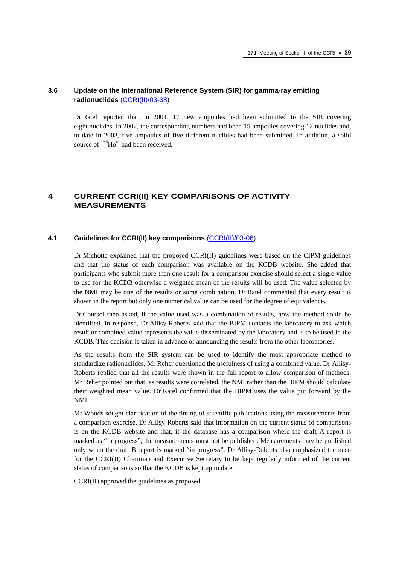# **3.6 Update on the International Reference System (SIR) for gamma-ray emitting radionuclides** [\(CCRI\(II\)/03-38\)](https://www.bipm.org/cc/CCRI(II)/Allowed/17/CCRI(II)03-38.pdf)

Dr Ratel reported that, in 2001, 17 new ampoules had been submitted to the SIR covering eight nuclides. In 2002, the corresponding numbers had been 15 ampoules covering 12 nuclides and, to date in 2003, five ampoules of five different nuclides had been submitted. In addition, a solid source of  $166$ Ho<sup>m</sup> had been received.

# **4 CURRENT CCRI(II) KEY COMPARISONS OF ACTIVITY MEASUREMENTS**

# **4.1 Guidelines for CCRI(II) key comparisons** [\(CCRI\(II\)/03-06\)](https://www.bipm.org/cc/CCRI(II)/Allowed/17/CCRI(II)03-06.pdf)

Dr Michotte explained that the proposed CCRI(II) guidelines were based on the CIPM guidelines and that the status of each comparison was available on the KCDB website. She added that participants who submit more than one result for a comparison exercise should select a single value to use for the KCDB otherwise a weighted mean of the results will be used. The value selected by the NMI may be one of the results or some combination. Dr Ratel commented that every result is shown in the report but only one numerical value can be used for the degree of equivalence.

Dr Coursol then asked, if the value used was a combination of results, how the method could be identified. In response, Dr Allisy-Roberts said that the BIPM contacts the laboratory to ask which result or combined value represents the value disseminated by the laboratory and is to be used in the KCDB. This decision is taken in advance of announcing the results from the other laboratories.

As the results from the SIR system can be used to identify the most appropriate method to standardize radionuclides, Mr Reher questioned the usefulness of using a combined value. Dr Allisy-Roberts replied that all the results were shown in the full report to allow comparison of methods. Mr Reher pointed out that, as results were correlated, the NMI rather than the BIPM should calculate their weighted mean value. Dr Ratel confirmed that the BIPM uses the value put forward by the NMI.

Mr Woods sought clarification of the timing of scientific publications using the measurements from a comparison exercise. Dr Allisy-Roberts said that information on the current status of comparisons is on the KCDB website and that, if the database has a comparison where the draft A report is marked as "in progress", the measurements must not be published. Measurements may be published only when the draft B report is marked "in progress". Dr Allisy-Roberts also emphasized the need for the CCRI(II) Chairman and Executive Secretary to be kept regularly informed of the current status of comparisons so that the KCDB is kept up to date.

CCRI(II) approved the guidelines as proposed.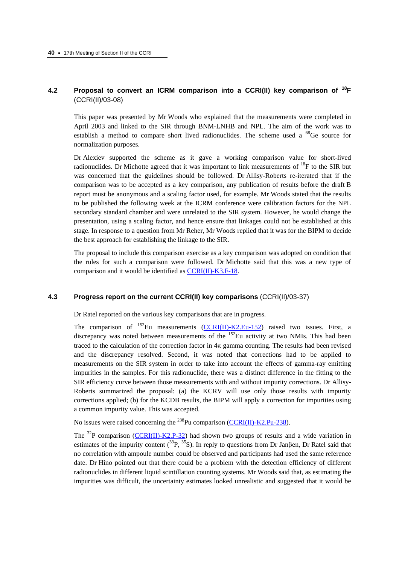# **4.2 Proposal to convert an ICRM comparison into a CCRI(II) key comparison of 18F**  (CCRI(II)/03-08)

This paper was presented by Mr Woods who explained that the measurements were completed in April 2003 and linked to the SIR through BNM-LNHB and NPL. The aim of the work was to establish a method to compare short lived radionuclides. The scheme used a  $^{68}$ Ge source for normalization purposes.

Dr Alexiev supported the scheme as it gave a working comparison value for short-lived radionuclides. Dr Michotte agreed that it was important to link measurements of  $^{18}$ F to the SIR but was concerned that the guidelines should be followed. Dr Allisy-Roberts re-iterated that if the comparison was to be accepted as a key comparison, any publication of results before the draft B report must be anonymous and a scaling factor used, for example. Mr Woods stated that the results to be published the following week at the ICRM conference were calibration factors for the NPL secondary standard chamber and were unrelated to the SIR system. However, he would change the presentation, using a scaling factor, and hence ensure that linkages could not be established at this stage. In response to a question from Mr Reher, Mr Woods replied that it was for the BIPM to decide the best approach for establishing the linkage to the SIR.

The proposal to include this comparison exercise as a key comparison was adopted on condition that the rules for such a comparison were followed.Dr Michotte said that this was a new type of comparison and it would be identified a[s CCRI\(II\)-K3.F-18.](http://kcdb.bipm.org/AppendixB/KCDB_ApB_info.asp?cmp_idy=570&cmp_cod=CCRI%28II%29%2DK3%2EF%2D18&page=1&search=2&cmp_cod_search=CCRI%28II%29%2DK3%2EF%2D18&met_idy=&bra_idy=&epo_idy=&cmt_idy=&ett_idy_org=&lab_idy=) 

# **4.3 Progress report on the current CCRI(II) key comparisons** (CCRI(II)/03-37)

Dr Ratel reported on the various key comparisons that are in progress.

The comparison of  $^{152}$ Eu measurements [\(CCRI\(II\)-K2.Eu-152\)](http://kcdb.bipm.org//AppendixB/KCDB_ApB_info.asp?cmp_idy=316&cmp_cod=CCRI%28II%29%2DK2%2EEu%2D152&page=1&search=2&cmp_cod_search=CCRI%28II%29%2DK2%2EEu&met_idy=&bra_idy=&epo_idy=&cmt_idy=&ett_idy_org=&lab_idy=) raised two issues. First, a discrepancy was noted between measurements of the <sup>152</sup>Eu activity at two NMIs. This had been traced to the calculation of the correction factor in 4π gamma counting. The results had been revised and the discrepancy resolved. Second, it was noted that corrections had to be applied to measurements on the SIR system in order to take into account the effects of gamma-ray emitting impurities in the samples. For this radionuclide, there was a distinct difference in the fitting to the SIR efficiency curve between those measurements with and without impurity corrections. Dr Allisy-Roberts summarized the proposal: (a) the KCRV will use only those results with impurity corrections applied; (b) for the KCDB results, the BIPM will apply a correction for impurities using a common impurity value. This was accepted.

No issues were raised concerning the <sup>238</sup>Pu comparison (CCRI(II)-K2.Pu-238).

The <sup>32</sup>P comparison [\(CCRI\(II\)-K2.P-32\)](http://kcdb.bipm.org//AppendixB/KCDB_ApB_info.asp?cmp_idy=320&cmp_cod=CCRI%28II%29%2DK2%2EP%2D32&page=1&search=2&cmp_cod_search=CCRI%28II%29%2DK2%2Ep&met_idy=&bra_idy=&epo_idy=&cmt_idy=&ett_idy_org=&lab_idy=) had shown two groups of results and a wide variation in estimates of the impurity content  $(^{33}P, ^{35}S)$ . In reply to questions from Dr Janßen, Dr Ratel said that no correlation with ampoule number could be observed and participants had used the same reference date. Dr Hino pointed out that there could be a problem with the detection efficiency of different radionuclides in different liquid scintillation counting systems. Mr Woods said that, as estimating the impurities was difficult, the uncertainty estimates looked unrealistic and suggested that it would be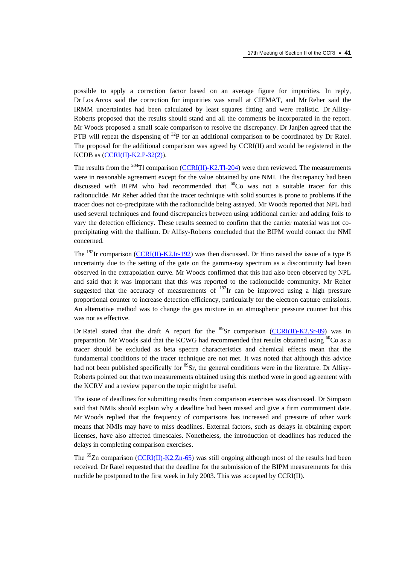possible to apply a correction factor based on an average figure for impurities. In reply, Dr Los Arcos said the correction for impurities was small at CIEMAT, and Mr Reher said the IRMM uncertainties had been calculated by least squares fitting and were realistic. Dr Allisy-Roberts proposed that the results should stand and all the comments be incorporated in the report. Mr Woods proposed a small scale comparison to resolve the discrepancy. Dr Janβen agreed that the PTB will repeat the dispensing of  $^{32}P$  for an additional comparison to be coordinated by Dr Ratel. The proposal for the additional comparison was agreed by CCRI(II) and would be registered in the KCDB as  $(CCRI(II)-K2.P-32(2))$ .

The results from the <sup>204</sup>Tl comparison [\(CCRI\(II\)-K2.Tl-204\) w](http://kcdb.bipm.org//AppendixB/KCDB_ApB_info.asp?cmp_idy=330&cmp_cod=CCRI%28II%29%2DK2%2ETl%2D204&page=1&search=2&cmp_cod_search=CCRI%28II%29%2DK2%2ETl&met_idy=&bra_idy=&epo_idy=&cmt_idy=&ett_idy_org=&lab_idy=)ere then reviewed. The measurements were in reasonable agreement except for the value obtained by one NMI. The discrepancy had been discussed with BIPM who had recommended that  ${}^{60}Co$  was not a suitable tracer for this radionuclide. Mr Reher added that the tracer technique with solid sources is prone to problems if the tracer does not co-precipitate with the radionuclide being assayed. Mr Woods reported that NPL had used several techniques and found discrepancies between using additional carrier and adding foils to vary the detection efficiency. These results seemed to confirm that the carrier material was not coprecipitating with the thallium. Dr Allisy-Roberts concluded that the BIPM would contact the NMI concerned.

The <sup>192</sup>Ir comparison [\(CCRI\(II\)-K2.Ir-192\) w](http://kcdb.bipm.org//AppendixB/KCDB_ApB_info.asp?cmp_idy=318&cmp_cod=CCRI%28II%29%2DK2%2EIr%2D192&page=1&search=2&cmp_cod_search=CCRI%28II%29%2DK2%2EIr&met_idy=&bra_idy=&epo_idy=&cmt_idy=&ett_idy_org=&lab_idy=)as then discussed. Dr Hino raised the issue of a type B uncertainty due to the setting of the gate on the gamma-ray spectrum as a discontinuity had been observed in the extrapolation curve. Mr Woods confirmed that this had also been observed by NPL and said that it was important that this was reported to the radionuclide community. Mr Reher suggested that the accuracy of measurements of  $^{192}$ Ir can be improved using a high pressure proportional counter to increase detection efficiency, particularly for the electron capture emissions. An alternative method was to change the gas mixture in an atmospheric pressure counter but this was not as effective.

Dr Ratel stated that the draft A report for the  ${}^{89}Sr$  comparison [\(CCRI\(II\)-K2.Sr-89\)](http://kcdb.bipm.org//AppendixB/KCDB_ApB_info.asp?cmp_idy=327&cmp_cod=CCRI%28II%29%2DK2%2ESr%2D89&page=1&search=2&cmp_cod_search=CCRI%28II%29%2DK2%2ESr&met_idy=&bra_idy=&epo_idy=&cmt_idy=&ett_idy_org=&lab_idy=) was in preparation. Mr Woods said that the KCWG had recommended that results obtained using <sup>60</sup>Co as a tracer should be excluded as beta spectra characteristics and chemical effects mean that the fundamental conditions of the tracer technique are not met. It was noted that although this advice had not been published specifically for <sup>89</sup>Sr, the general conditions were in the literature. Dr Allisy-Roberts pointed out that two measurements obtained using this method were in good agreement with the KCRV and a review paper on the topic might be useful.

The issue of deadlines for submitting results from comparison exercises was discussed. Dr Simpson said that NMIs should explain why a deadline had been missed and give a firm commitment date. Mr Woods replied that the frequency of comparisons has increased and pressure of other work means that NMIs may have to miss deadlines. External factors, such as delays in obtaining export licenses, have also affected timescales. Nonetheless, the introduction of deadlines has reduced the delays in completing comparison exercises.

The  ${}^{65}Zn$  compariso[n \(CCRI\(II\)-K2.Zn-65\)](http://kcdb.bipm.org//AppendixB/KCDB_ApB_info.asp?cmp_idy=334&cmp_cod=CCRI%28II%29%2DK2%2EZn%2D65&page=1&search=2&cmp_cod_search=CCRI%28II%29%2DK2%2EZn&met_idy=&bra_idy=&epo_idy=&cmt_idy=&ett_idy_org=&lab_idy=) was still ongoing although most of the results had been received. Dr Ratel requested that the deadline for the submission of the BIPM measurements for this nuclide be postponed to the first week in July 2003. This was accepted by CCRI(II).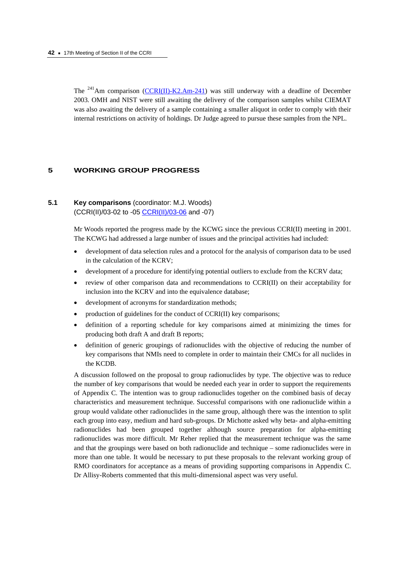The <sup>241</sup>Am comparison [\(CCRI\(II\)-K2.Am-241\)](http://kcdb.bipm.org//AppendixB/KCDB_ApB_info.asp?cmp_idy=246&cmp_cod=CCRI%28II%29%2DK2%2EAm%2D241&page=1&search=2&cmp_cod_search=CCRI%28II%29%2DK2%2EAm&met_idy=&bra_idy=&epo_idy=&cmt_idy=&ett_idy_org=&lab_idy=) was still underway with a deadline of December 2003. OMH and NIST were still awaiting the delivery of the comparison samples whilst CIEMAT was also awaiting the delivery of a sample containing a smaller aliquot in order to comply with their internal restrictions on activity of holdings. Dr Judge agreed to pursue these samples from the NPL.

### **5 WORKING GROUP PROGRESS**

# **5.1 Key comparisons** (coordinator: M.J. Woods) (CCRI(II)/03-02 to -[05 CCRI\(II\)/03-06 a](https://www.bipm.org/cc/CCRI(II)/Allowed/17/CCRI(II)03-06.pdf)nd -07)

Mr Woods reported the progress made by the KCWG since the previous CCRI(II) meeting in 2001. The KCWG had addressed a large number of issues and the principal activities had included:

- development of data selection rules and a protocol for the analysis of comparison data to be used in the calculation of the KCRV;
- development of a procedure for identifying potential outliers to exclude from the KCRV data;
- review of other comparison data and recommendations to CCRI(II) on their acceptability for inclusion into the KCRV and into the equivalence database:
- development of acronyms for standardization methods;
- production of guidelines for the conduct of CCRI(II) key comparisons;
- definition of a reporting schedule for key comparisons aimed at minimizing the times for producing both draft A and draft B reports;
- definition of generic groupings of radionuclides with the objective of reducing the number of key comparisons that NMIs need to complete in order to maintain their CMCs for all nuclides in the KCDB.

A discussion followed on the proposal to group radionuclides by type. The objective was to reduce the number of key comparisons that would be needed each year in order to support the requirements of Appendix C. The intention was to group radionuclides together on the combined basis of decay characteristics and measurement technique. Successful comparisons with one radionuclide within a group would validate other radionuclides in the same group, although there was the intention to split each group into easy, medium and hard sub-groups. Dr Michotte asked why beta- and alpha-emitting radionuclides had been grouped together although source preparation for alpha-emitting radionuclides was more difficult. Mr Reher replied that the measurement technique was the same and that the groupings were based on both radionuclide and technique – some radionuclides were in more than one table. It would be necessary to put these proposals to the relevant working group of RMO coordinators for acceptance as a means of providing supporting comparisons in Appendix C. Dr Allisy-Roberts commented that this multi-dimensional aspect was very useful.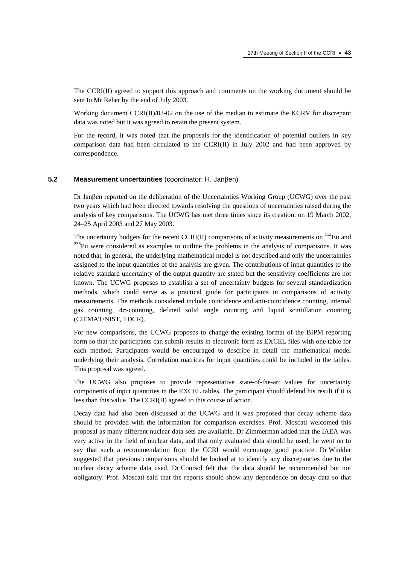The CCRI(II) agreed to support this approach and comments on the working document should be sent to Mr Reher by the end of July 2003.

Working document CCRI(II)/03-02 on the use of the median to estimate the KCRV for discrepant data was noted but it was agreed to retain the present system.

For the record, it was noted that the proposals for the identification of potential outliers in key comparison data had been circulated to the CCRI(II) in July 2002 and had been approved by correspondence.

### **5.2 Measurement uncertainties** (coordinator: H. Janβen)

Dr Janβen reported on the deliberation of the Uncertainties Working Group (UCWG) over the past two years which had been directed towards resolving the questions of uncertainties raised during the analysis of key comparisons. The UCWG has met three times since its creation, on 19 March 2002, 24–25 April 2003 and 27 May 2003.

The uncertainty budgets for the recent CCRI(II) comparisons of activity measurements on  $^{152}$ Eu and  $238$ Pu were considered as examples to outline the problems in the analysis of comparisons. It was noted that, in general, the underlying mathematical model is not described and only the uncertainties assigned to the input quantities of the analysis are given. The contributions of input quantities to the relative standard uncertainty of the output quantity are stated but the sensitivity coefficients are not known. The UCWG proposes to establish a set of uncertainty budgets for several standardization methods, which could serve as a practical guide for participants in comparisons of activity measurements. The methods considered include coincidence and anti-coincidence counting, internal gas counting, 4π-counting, defined solid angle counting and liquid scintillation counting (CIEMAT/NIST, TDCR).

For new comparisons, the UCWG proposes to change the existing format of the BIPM reporting form so that the participants can submit results in electronic form as EXCEL files with one table for each method. Participants would be encouraged to describe in detail the mathematical model underlying their analysis. Correlation matrices for input quantities could be included in the tables. This proposal was agreed.

The UCWG also proposes to provide representative state-of-the-art values for uncertainty components of input quantities in the EXCEL tables. The participant should defend his result if it is less than this value. The CCRI(II) agreed to this course of action.

Decay data had also been discussed at the UCWG and it was proposed that decay scheme data should be provided with the information for comparison exercises. Prof. Moscati welcomed this proposal as many different nuclear data sets are available. Dr Zimmerman added that the IAEA was very active in the field of nuclear data, and that only evaluated data should be used; he went on to say that such a recommendation from the CCRI would encourage good practice. Dr Winkler suggested that previous comparisons should be looked at to identify any discrepancies due to the nuclear decay scheme data used. Dr Coursol felt that the data should be recommended but not obligatory. Prof. Moscati said that the reports should show any dependence on decay data so that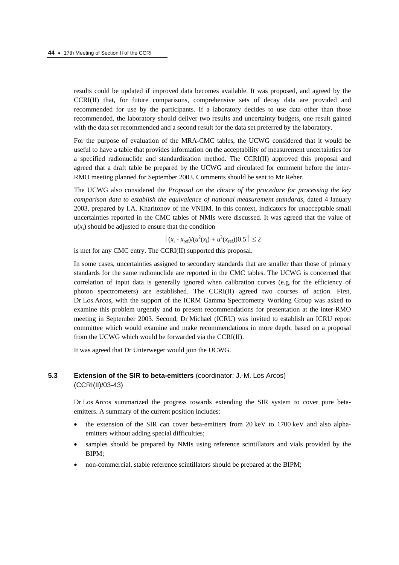results could be updated if improved data becomes available. It was proposed, and agreed by the CCRI(II) that, for future comparisons, comprehensive sets of decay data are provided and recommended for use by the participants. If a laboratory decides to use data other than those recommended, the laboratory should deliver two results and uncertainty budgets, one result gained with the data set recommended and a second result for the data set preferred by the laboratory.

For the purpose of evaluation of the MRA-CMC tables, the UCWG considered that it would be useful to have a table that provides information on the acceptability of measurement uncertainties for a specified radionuclide and standardization method. The CCRI(II) approved this proposal and agreed that a draft table be prepared by the UCWG and circulated for comment before the inter-RMO meeting planned for September 2003. Comments should be sent to Mr Reher.

The UCWG also considered the *Proposal on the choice of the procedure for processing the key comparison data to establish the equivalence of national measurement standards*, dated 4 January 2003, prepared by I.A. Kharitonov of the VNIIM. In this context, indicators for unacceptable small uncertainties reported in the CMC tables of NMIs were discussed. It was agreed that the value of  $u(x_i)$  should be adjusted to ensure that the condition

$$
|(x_i - x_{ref})/(u^2(x_i) + u^2(x_{ref}))0.5| \le 2
$$

is met for any CMC entry. The CCRI(II) supported this proposal.

In some cases, uncertainties assigned to secondary standards that are smaller than those of primary standards for the same radionuclide are reported in the CMC tables. The UCWG is concerned that correlation of input data is generally ignored when calibration curves (e.g. for the efficiency of photon spectrometers) are established. The CCRI(II) agreed two courses of action. First, Dr Los Arcos, with the support of the ICRM Gamma Spectrometry Working Group was asked to examine this problem urgently and to present recommendations for presentation at the inter-RMO meeting in September 2003. Second, Dr Michael (ICRU) was invited to establish an ICRU report committee which would examine and make recommendations in more depth, based on a proposal from the UCWG which would be forwarded via the CCRI(II).

It was agreed that Dr Unterweger would join the UCWG.

# **5.3 Extension of the SIR to beta-emitters** (coordinator: J.-M. Los Arcos) (CCRI(II)/03-43)

Dr Los Arcos summarized the progress towards extending the SIR system to cover pure betaemitters. A summary of the current position includes:

- the extension of the SIR can cover beta-emitters from 20 keV to 1700 keV and also alphaemitters without adding special difficulties;
- samples should be prepared by NMIs using reference scintillators and vials provided by the BIPM;
- non-commercial, stable reference scintillators should be prepared at the BIPM;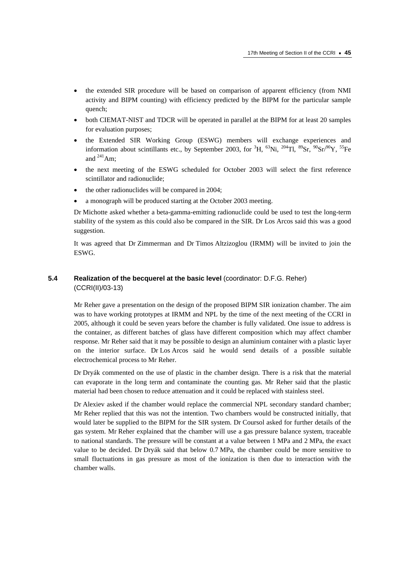- the extended SIR procedure will be based on comparison of apparent efficiency (from NMI) activity and BIPM counting) with efficiency predicted by the BIPM for the particular sample quench;
- both CIEMAT-NIST and TDCR will be operated in parallel at the BIPM for at least 20 samples for evaluation purposes;
- the Extended SIR Working Group (ESWG) members will exchange experiences and information about scintillants etc., by September 2003, for <sup>3</sup>H, <sup>63</sup>Ni, <sup>204</sup>Tl, <sup>89</sup>Sr, <sup>90</sup>Sr/<sup>90</sup>Y, <sup>55</sup>Fe and  $^{241}$ Am;
- the next meeting of the ESWG scheduled for October 2003 will select the first reference scintillator and radionuclide;
- the other radionuclides will be compared in 2004;
- a monograph will be produced starting at the October 2003 meeting.

Dr Michotte asked whether a beta-gamma-emitting radionuclide could be used to test the long-term stability of the system as this could also be compared in the SIR. Dr Los Arcos said this was a good suggestion.

It was agreed that Dr Zimmerman and Dr Timos Altzizoglou (IRMM) will be invited to join the ESWG.

# **5.4 Realization of the becquerel at the basic level** (coordinator: D.F.G. Reher) (CCRI(II)/03-13)

Mr Reher gave a presentation on the design of the proposed BIPM SIR ionization chamber. The aim was to have working prototypes at IRMM and NPL by the time of the next meeting of the CCRI in 2005, although it could be seven years before the chamber is fully validated. One issue to address is the container, as different batches of glass have different composition which may affect chamber response. Mr Reher said that it may be possible to design an aluminium container with a plastic layer on the interior surface. Dr Los Arcos said he would send details of a possible suitable electrochemical process to Mr Reher.

Dr Dryák commented on the use of plastic in the chamber design. There is a risk that the material can evaporate in the long term and contaminate the counting gas. Mr Reher said that the plastic material had been chosen to reduce attenuation and it could be replaced with stainless steel.

Dr Alexiev asked if the chamber would replace the commercial NPL secondary standard chamber; Mr Reher replied that this was not the intention. Two chambers would be constructed initially, that would later be supplied to the BIPM for the SIR system. Dr Coursol asked for further details of the gas system. Mr Reher explained that the chamber will use a gas pressure balance system, traceable to national standards. The pressure will be constant at a value between 1 MPa and 2 MPa, the exact value to be decided. Dr Dryák said that below 0.7 MPa, the chamber could be more sensitive to small fluctuations in gas pressure as most of the ionization is then due to interaction with the chamber walls.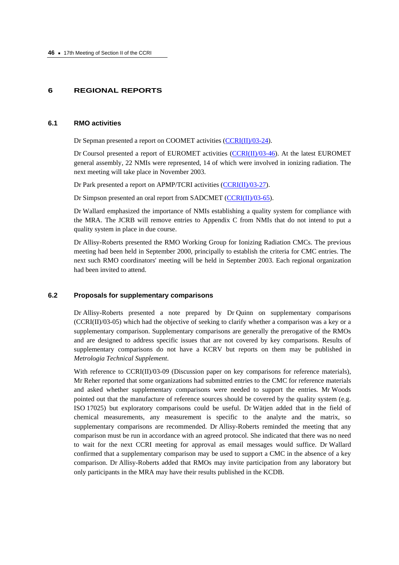### **6 REGIONAL REPORTS**

### **6.1 RMO activities**

Dr Sepman presented a report on COOMET activities [\(CCRI\(II\)/03-24\).](https://www.bipm.org/cc/CCRI(II)/Allowed/17/CCRI(II)03-24.pdf) 

Dr Coursol presented a report of EUROMET activities  $(CCRI(II)/03-46)$ . At the latest EUROMET general assembly, 22 NMIs were represented, 14 of which were involved in ionizing radiation. The next meeting will take place in November 2003.

Dr Park presented a report on APMP/TCRI activities [\(CCRI\(II\)/03-27\).](https://www.bipm.org/cc/CCRI(II)/Allowed/17/CCRI(II)03-27.pdf) 

Dr Simpson presented an oral report from SADCMET [\(CCRI\(II\)/03-65\).](https://www.bipm.org/cc/CCRI(II)/Allowed/17/CCRI(II)03-65.pdf) 

Dr Wallard emphasized the importance of NMIs establishing a quality system for compliance with the MRA. The JCRB will remove entries to Appendix C from NMIs that do not intend to put a quality system in place in due course.

Dr Allisy-Roberts presented the RMO Working Group for Ionizing Radiation CMCs. The previous meeting had been held in September 2000, principally to establish the criteria for CMC entries. The next such RMO coordinators' meeting will be held in September 2003. Each regional organization had been invited to attend.

#### **6.2 Proposals for supplementary comparisons**

Dr Allisy-Roberts presented a note prepared by Dr Quinn on supplementary comparisons  $(CCRI(II)/03-05)$  which had the objective of seeking to clarify whether a comparison was a key or a supplementary comparison. Supplementary comparisons are generally the prerogative of the RMOs and are designed to address specific issues that are not covered by key comparisons. Results of supplementary comparisons do not have a KCRV but reports on them may be published in *Metrologia Technical Supplement*.

With reference to CCRI(II)/03-09 (Discussion paper on key comparisons for reference materials), Mr Reher reported that some organizations had submitted entries to the CMC for reference materials and asked whether supplementary comparisons were needed to support the entries. Mr Woods pointed out that the manufacture of reference sources should be covered by the quality system (e.g. ISO 17025) but exploratory comparisons could be useful. Dr Wätjen added that in the field of chemical measurements, any measurement is specific to the analyte and the matrix, so supplementary comparisons are recommended. Dr Allisy-Roberts reminded the meeting that any comparison must be run in accordance with an agreed protocol. She indicated that there was no need to wait for the next CCRI meeting for approval as email messages would suffice. Dr Wallard confirmed that a supplementary comparison may be used to support a CMC in the absence of a key comparison. Dr Allisy-Roberts added that RMOs may invite participation from any laboratory but only participants in the MRA may have their results published in the KCDB.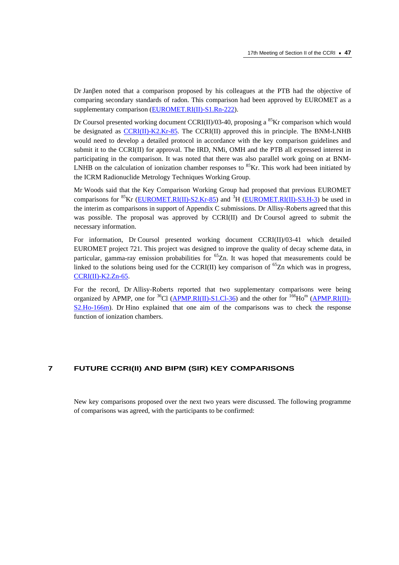Dr Janβen noted that a comparison proposed by his colleagues at the PTB had the objective of comparing secondary standards of radon. This comparison had been approved by EUROMET as a supplementary comparison (EUROMET.RI(II)-S1.Rn-222).

Dr Coursol presented working document CCRI(II)/03-40, proposing a  ${}^{85}$ Kr comparison which would be designated as CCRI(II)-K2.Kr-85. The CCRI(II) approved this in principle. The BNM-LNHB would need to develop a detailed protocol in accordance with the key comparison guidelines and submit it to the CCRI(II) for approval. The IRD, NMi, OMH and the PTB all expressed interest in participating in the comparison. It was noted that there was also parallel work going on at BNM-LNHB on the calculation of ionization chamber responses to  ${}^{85}$ Kr. This work had been initiated by the ICRM Radionuclide Metrology Techniques Working Group.

Mr Woods said that the Key Comparison Working Group had proposed that previous EUROMET comparisons for <sup>85</sup>Kr [\(EUROMET.RI\(II\)-S2.Kr-85\) a](http://kcdb.bipm.org//AppendixB/KCDB_ApB_info.asp?cmp_idy=571&cmp_cod=EUROMET%2ERI%28II%29%2DS2%2EKr%2D85&page=1&search=1&cmp_cod_search=&met_idy=4&bra_idy=18&epo_idy=0&cmt_idy=2&ett_idy_org=2&lab_idy=0)nd <sup>3</sup>H [\(EUROMET.RI\(II\)-S3.H-3\)](http://kcdb.bipm.org//AppendixB/KCDB_ApB_info.asp?cmp_idy=572&cmp_cod=EUROMET%2ERI%28II%29%2DS3%2EH%2D3&page=1&search=1&cmp_cod_search=&met_idy=4&bra_idy=18&epo_idy=0&cmt_idy=2&ett_idy_org=2&lab_idy=0) be used in the interim as comparisons in support of Appendix C submissions. Dr Allisy-Roberts agreed that this was possible. The proposal was approved by CCRI(II) and Dr Coursol agreed to submit the necessary information.

For information, Dr Coursol presented working document CCRI(II)/03-41 which detailed EUROMET project 721. This project was designed to improve the quality of decay scheme data, in particular, gamma-ray emission probabilities for  ${}^{65}Zn$ . It was hoped that measurements could be linked to the solutions being used for the CCRI(II) key comparison of  $^{65}Zn$  which was in progress, [CCRI\(II\)-K2.Zn-65.](http://kcdb.bipm.org//AppendixB/KCDB_ApB_info.asp?cmp_idy=334&cmp_cod=CCRI%28II%29%2DK2%2EZn%2D65&page=16&search=1&cmp_cod_search=&met_idy=4&bra_idy=18&epo_idy=0&cmt_idy=1&ett_idy_org=0&lab_idy=0) 

For the record, Dr Allisy-Roberts reported that two supplementary comparisons were being organized by APMP, one for  ${}^{36}Cl$  [\(APMP.RI\(II\)-S1.Cl-36\) a](http://kcdb.bipm.org//AppendixB/KCDB_ApB_info.asp?cmp_idy=583&cmp_cod=APMP%2ERI%28II%29%2DS1%2ECl%2D36&page=1&search=1&cmp_cod_search=&met_idy=4&bra_idy=18&epo_idy=0&cmt_idy=2&ett_idy_org=1&lab_idy=0)nd the other for  ${}^{166}Ho^m$  [\(APMP.RI\(II\)-](http://kcdb.bipm.org//AppendixB/KCDB_ApB_info.asp?cmp_idy=582&cmp_cod=APMP%2ERI%28II%29%2DS2%2EHo%2D166m&page=1&search=1&cmp_cod_search=&met_idy=4&bra_idy=18&epo_idy=0&cmt_idy=2&ett_idy_org=1&lab_idy=0) [S2.Ho-166m\).](http://kcdb.bipm.org//AppendixB/KCDB_ApB_info.asp?cmp_idy=582&cmp_cod=APMP%2ERI%28II%29%2DS2%2EHo%2D166m&page=1&search=1&cmp_cod_search=&met_idy=4&bra_idy=18&epo_idy=0&cmt_idy=2&ett_idy_org=1&lab_idy=0) Dr Hino explained that one aim of the comparisons was to check the response function of ionization chambers.

# **7 FUTURE CCRI(II) AND BIPM (SIR) KEY COMPARISONS**

New key comparisons proposed over the next two years were discussed. The following programme of comparisons was agreed, with the participants to be confirmed: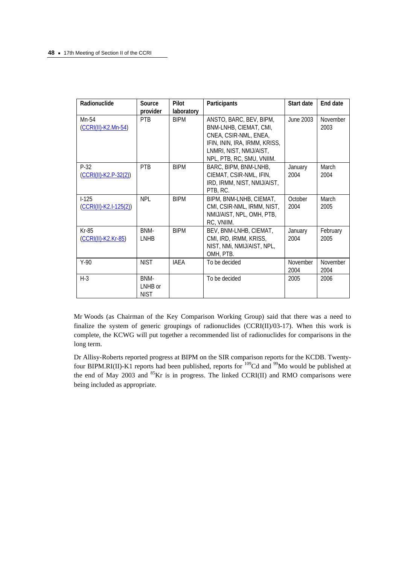| Radionuclide                        | Source<br>provider             | Pilot<br>laboratory | Participants                                                                                                                                                        | Start date       | End date         |
|-------------------------------------|--------------------------------|---------------------|---------------------------------------------------------------------------------------------------------------------------------------------------------------------|------------------|------------------|
| Mn-54<br>(CCRI(II)-K2.Mn-54)        | <b>PTR</b>                     | <b>BIPM</b>         | ANSTO, BARC, BEV, BIPM,<br>BNM-LNHB, CIEMAT, CMI,<br>CNEA, CSIR-NML, ENEA,<br>IFIN, ININ, IRA, IRMM, KRISS,<br>LNMRI, NIST, NMIJ/AIST,<br>NPL, PTB, RC, SMU, VNIIM. | June 2003        | November<br>2003 |
| $P-32$<br>$(CCRI(II)-K2.P-32(2))$   | PTB                            | <b>BIPM</b>         | BARC, BIPM, BNM-LNHB,<br>CIEMAT, CSIR-NML, IFIN,<br>IRD, IRMM, NIST, NMIJ/AIST,<br>PTB, RC.                                                                         | January<br>2004  | March<br>2004    |
| $I-125$<br>$(CCRI(II)-K2.I-125(2))$ | <b>NPL</b>                     | <b>BIPM</b>         | BIPM, BNM-LNHB, CIEMAT,<br>CMI, CSIR-NML, IRMM, NIST,<br>NMIJ/AIST, NPL, OMH, PTB,<br>RC, VNIIM.                                                                    | October<br>2004  | March<br>2005    |
| $Kr-85$<br>(CCRI(II)-K2.Kr-85)      | BNM-<br>LNHB                   | <b>BIPM</b>         | BEV, BNM-LNHB, CIEMAT,<br>CMI, IRD, IRMM, KRISS,<br>NIST, NMI, NMIJ/AIST, NPL,<br>OMH, PTB.                                                                         | January<br>2004  | February<br>2005 |
| $Y-90$                              | <b>NIST</b>                    | IAEA                | To be decided                                                                                                                                                       | November<br>2004 | November<br>2004 |
| $H-3$                               | BNM-<br>LNHB or<br><b>NIST</b> |                     | To be decided                                                                                                                                                       | 2005             | 2006             |

Mr Woods (as Chairman of the Key Comparison Working Group) said that there was a need to finalize the system of generic groupings of radionuclides (CCRI(II)/03-17). When this work is complete, the KCWG will put together a recommended list of radionuclides for comparisons in the long term.

Dr Allisy-Roberts reported progress at BIPM on the SIR comparison reports for the KCDB. Twentyfour BIPM.RI(II)-K1 reports had been published, reports for <sup>109</sup>Cd and <sup>99</sup>Mo would be published at the end of May 2003 and  ${}^{85}$ Kr is in progress. The linked CCRI(II) and RMO comparisons were being included as appropriate.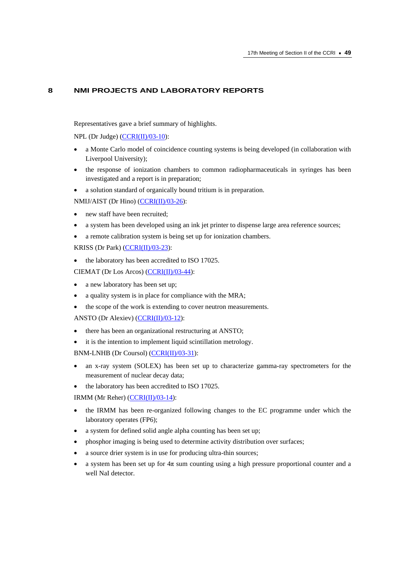# **8 NMI PROJECTS AND LABORATORY REPORTS**

Representatives gave a brief summary of highlights.

NPL (Dr Judge) [\(CCRI\(II\)/03-10\):](https://www.bipm.org/cc/CCRI(II)/Allowed/17/CCRI(II)03-10.pdf) 

- a Monte Carlo model of coincidence counting systems is being developed (in collaboration with Liverpool University);
- the response of ionization chambers to common radiopharmaceuticals in syringes has been investigated and a report is in preparation;
- a solution standard of organically bound tritium is in preparation.

NMIJ/AIST (Dr Hino) (CCRI(II)/03-26):

- new staff have been recruited;
- a system has been developed using an ink jet printer to dispense large area reference sources;
- a remote calibration system is being set up for ionization chambers.

KRISS (Dr Park[\) \(CCRI\(II\)/03-23\):](https://www.bipm.org/cc/CCRI(II)/Allowed/17/CCRI(II)03-23.pdf) 

the laboratory has been accredited to ISO 17025.

CIEMAT (Dr Los Arcos) [\(CCRI\(II\)/03-44\):](https://www.bipm.org/cc/CCRI(II)/Allowed/17/CCRI(II)03-44.pdf) 

- a new laboratory has been set up;
- a quality system is in place for compliance with the MRA;
- the scope of the work is extending to cover neutron measurements.

ANSTO (Dr Alexiev) [\(CCRI\(II\)/03-12\):](https://www.bipm.org/cc/CCRI(II)/Allowed/17/CCRI(II)03-12.pdf) 

- there has been an organizational restructuring at ANSTO;
- it is the intention to implement liquid scintillation metrology.

BNM-LNHB (Dr Coursol) (CCRI(II)/03-31):

- an x-ray system (SOLEX) has been set up to characterize gamma-ray spectrometers for the measurement of nuclear decay data;
- the laboratory has been accredited to ISO 17025.

IRMM (Mr Reher[\) \(CCRI\(II\)/03-14\):](https://www.bipm.org/cc/CCRI(II)/Allowed/17/CCRI(II)03-14.pdf) 

- the IRMM has been re-organized following changes to the EC programme under which the laboratory operates (FP6);
- a system for defined solid angle alpha counting has been set up;
- phosphor imaging is being used to determine activity distribution over surfaces;
- a source drier system is in use for producing ultra-thin sources;
- a system has been set up for  $4\pi$  sum counting using a high pressure proportional counter and a well NaI detector.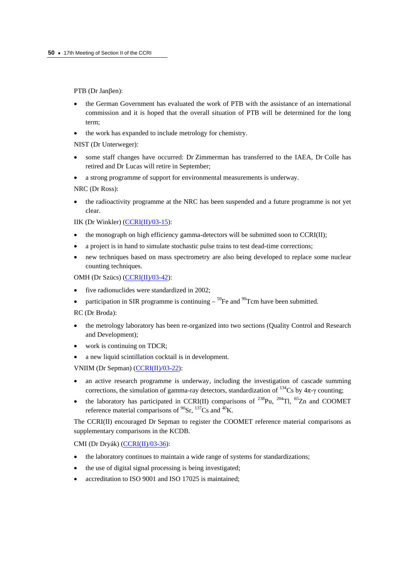PTB (Dr Janβen):

- the German Government has evaluated the work of PTB with the assistance of an international commission and it is hoped that the overall situation of PTB will be determined for the long term;
- the work has expanded to include metrology for chemistry.

NIST (Dr Unterweger):

- some staff changes have occurred: Dr Zimmerman has transferred to the IAEA, Dr Colle has retired and Dr Lucas will retire in September;
- a strong programme of support for environmental measurements is underway.

NRC (Dr Ross):

• the radioactivity programme at the NRC has been suspended and a future programme is not yet clear.

IIK (Dr Winkler) [\(CCRI\(II\)/03-15\):](https://www.bipm.org/cc/CCRI(II)/Allowed/17/CCRI(II)03-15.pdf) 

- the monograph on high efficiency gamma-detectors will be submitted soon to CCRI(II);
- a project is in hand to simulate stochastic pulse trains to test dead-time corrections;
- new techniques based on mass spectrometry are also being developed to replace some nuclear counting techniques.

OMH (Dr Szücs) [\(CCRI\(II\)/03-42\):](https://www.bipm.org/cc/CCRI(II)/Allowed/17/CCRI(II)03-42.pdf) 

- five radionuclides were standardized in 2002;
- participation in SIR programme is continuing  $-$  <sup>59</sup>Fe and <sup>99</sup>Tcm have been submitted.

RC (Dr Broda):

- the metrology laboratory has been re-organized into two sections (Quality Control and Research and Development);
- work is continuing on TDCR;
- a new liquid scintillation cocktail is in development.

VNIIM (Dr Sepman) (CCRI(II)/03-22):

- an active research programme is underway, including the investigation of cascade summing corrections, the simulation of gamma-ray detectors, standardization of  $^{134}Cs$  by  $4\pi$ - $\gamma$  counting;
- the laboratory has participated in CCRI(II) comparisons of  $^{238}$ Pu,  $^{204}$ Tl,  $^{65}$ Zn and COOMET reference material comparisons of  ${}^{90}Sr$ ,  ${}^{137}Cs$  and  ${}^{40}K$ .

The CCRI(II) encouraged Dr Sepman to register the COOMET reference material comparisons as supplementary comparisons in the KCDB.

CMI (Dr Dryák) [\(CCRI\(II\)/03-36\):](https://www.bipm.org/cc/CCRI(II)/Allowed/17/CCRI(II)03-36.pdf) 

- the laboratory continues to maintain a wide range of systems for standardizations;
- the use of digital signal processing is being investigated;
- accreditation to ISO 9001 and ISO 17025 is maintained;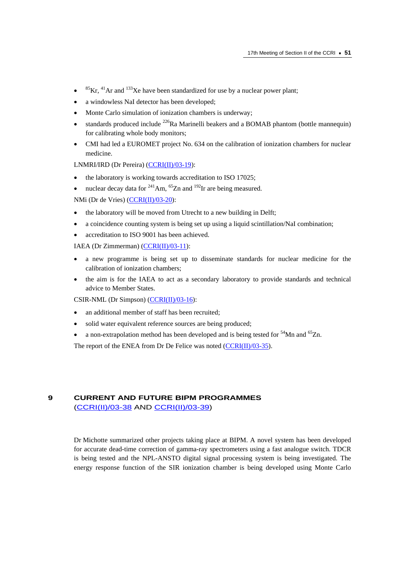- ${}^{85}$ Kr,  ${}^{41}$ Ar and  ${}^{133}$ Xe have been standardized for use by a nuclear power plant;
- a windowless NaI detector has been developed;
- Monte Carlo simulation of ionization chambers is underway;
- standards produced include  $^{226}$ Ra Marinelli beakers and a BOMAB phantom (bottle mannequin) for calibrating whole body monitors;
- CMI had led a EUROMET project No. 634 on the calibration of ionization chambers for nuclear medicine.

LNMRI/IRD (Dr Pereira) (CCRI(II)/03-19):

- the laboratory is working towards accreditation to ISO 17025;
- nuclear decay data for  $^{241}$ Am,  $^{65}$ Zn and  $^{192}$ Ir are being measured.

NMi (Dr de Vries) [\(CCRI\(II\)/03-20\):](https://www.bipm.org/cc/CCRI(II)/Allowed/17/CCRI(II)03-20.pdf) 

- the laboratory will be moved from Utrecht to a new building in Delft;
- a coincidence counting system is being set up using a liquid scintillation/NaI combination;
- accreditation to ISO 9001 has been achieved.
- IAEA (Dr Zimmerman) [\(CCRI\(II\)/03-11\):](https://www.bipm.org/cc/CCRI(II)/Allowed/17/CCRI(II)03-11.pdf)
- a new programme is being set up to disseminate standards for nuclear medicine for the calibration of ionization chambers;
- the aim is for the IAEA to act as a secondary laboratory to provide standards and technical advice to Member States.

CSIR-NML (Dr Simpson) [\(CCRI\(II\)/03-16\):](https://www.bipm.org/cc/CCRI(II)/Allowed/17/CCRI(II)03-16.pdf) 

- an additional member of staff has been recruited;
- solid water equivalent reference sources are being produced;
- a non-extrapolation method has been developed and is being tested for  $54$ Mn and  $52$ n.

The report of the ENEA from Dr De Felice was noted [\(CCRI\(II\)/03-35\).](https://www.bipm.org/cc/CCRI(II)/Allowed/17/CCRI(II)03-35.pdf) 

# **9 CURRENT AND FUTURE BIPM PROGRAMMES**  [\(CCRI\(II\)/03-38 A](https://www.bipm.org/cc/CCRI(II)/Allowed/17/CCRI(II)03-38.pdf)ND [CCRI\(II\)/03-39\)](https://www.bipm.org/cc/CCRI(II)/Allowed/17/CCRI(II)03-39.pdf)

Dr Michotte summarized other projects taking place at BIPM. A novel system has been developed for accurate dead-time correction of gamma-ray spectrometers using a fast analogue switch. TDCR is being tested and the NPL-ANSTO digital signal processing system is being investigated. The energy response function of the SIR ionization chamber is being developed using Monte Carlo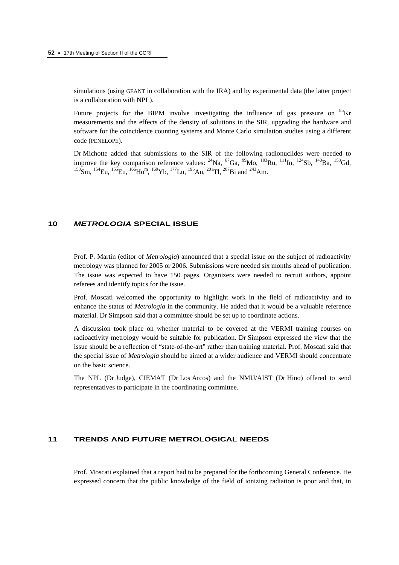simulations (using GEANT in collaboration with the IRA) and by experimental data (the latter project is a collaboration with NPL).

Future projects for the BIPM involve investigating the influence of gas pressure on  ${}^{85}$ Kr measurements and the effects of the density of solutions in the SIR, upgrading the hardware and software for the coincidence counting systems and Monte Carlo simulation studies using a different code (PENELOPE).

Dr Michotte added that submissions to the SIR of the following radionuclides were needed to improve the key comparison reference values:  $^{24}$ Na,  $^{67}$ Ga,  $^{99}$ Mo,  $^{103}$ Ru,  $^{111}$ In,  $^{124}$ Sb,  $^{140}$ Ba,  $^{153}$ Gd, 153Sm, 154Eu, 155Eu, 166Hom, 169Yb, 177Lu, 195Au, 201Tl, 207Bi and 243Am.

### **10** *METROLOGIA* **SPECIAL ISSUE**

Prof. P. Martin (editor of *Metrologia*) announced that a special issue on the subject of radioactivity metrology was planned for 2005 or 2006. Submissions were needed six months ahead of publication. The issue was expected to have 150 pages. Organizers were needed to recruit authors, appoint referees and identify topics for the issue.

Prof. Moscati welcomed the opportunity to highlight work in the field of radioactivity and to enhance the status of *Metrologia* in the community. He added that it would be a valuable reference material. Dr Simpson said that a committee should be set up to coordinate actions.

A discussion took place on whether material to be covered at the VERMI training courses on radioactivity metrology would be suitable for publication. Dr Simpson expressed the view that the issue should be a reflection of "state-of-the-art" rather than training material. Prof. Moscati said that the special issue of *Metrologia* should be aimed at a wider audience and VERMI should concentrate on the basic science.

The NPL (Dr Judge), CIEMAT (Dr Los Arcos) and the NMIJ/AIST (Dr Hino) offered to send representatives to participate in the coordinating committee.

### **11 TRENDS AND FUTURE METROLOGICAL NEEDS**

Prof. Moscati explained that a report had to be prepared for the forthcoming General Conference. He expressed concern that the public knowledge of the field of ionizing radiation is poor and that, in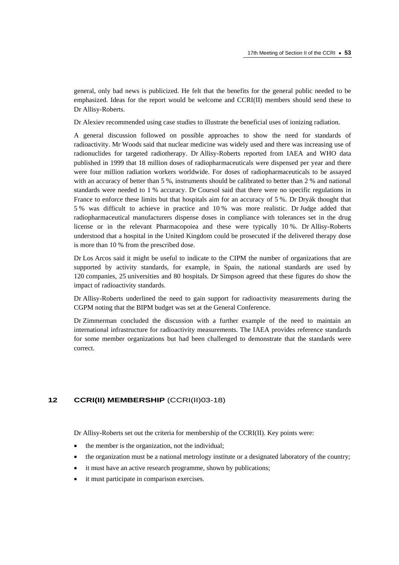general, only bad news is publicized. He felt that the benefits for the general public needed to be emphasized. Ideas for the report would be welcome and CCRI(II) members should send these to Dr Allisy-Roberts.

Dr Alexiev recommended using case studies to illustrate the beneficial uses of ionizing radiation.

A general discussion followed on possible approaches to show the need for standards of radioactivity. Mr Woods said that nuclear medicine was widely used and there was increasing use of radionuclides for targeted radiotherapy. Dr Allisy-Roberts reported from IAEA and WHO data published in 1999 that 18 million doses of radiopharmaceuticals were dispensed per year and there were four million radiation workers worldwide. For doses of radiopharmaceuticals to be assayed with an accuracy of better than 5 %, instruments should be calibrated to better than 2 % and national standards were needed to 1 % accuracy. Dr Coursol said that there were no specific regulations in France to enforce these limits but that hospitals aim for an accuracy of 5 %. Dr Dryák thought that 5 % was difficult to achieve in practice and 10 % was more realistic. Dr Judge added that radiopharmaceutical manufacturers dispense doses in compliance with tolerances set in the drug license or in the relevant Pharmacopoiea and these were typically 10 %. Dr Allisy-Roberts understood that a hospital in the United Kingdom could be prosecuted if the delivered therapy dose is more than 10 % from the prescribed dose.

Dr Los Arcos said it might be useful to indicate to the CIPM the number of organizations that are supported by activity standards, for example, in Spain, the national standards are used by 120 companies, 25 universities and 80 hospitals. Dr Simpson agreed that these figures do show the impact of radioactivity standards.

Dr Allisy-Roberts underlined the need to gain support for radioactivity measurements during the CGPM noting that the BIPM budget was set at the General Conference.

Dr Zimmerman concluded the discussion with a further example of the need to maintain an international infrastructure for radioactivity measurements. The IAEA provides reference standards for some member organizations but had been challenged to demonstrate that the standards were correct.

# **12 CCRI(II) MEMBERSHIP** (CCRI(II)03-18)

Dr Allisy-Roberts set out the criteria for membership of the CCRI(II). Key points were:

- the member is the organization, not the individual;
- the organization must be a national metrology institute or a designated laboratory of the country;
- it must have an active research programme, shown by publications;
- it must participate in comparison exercises.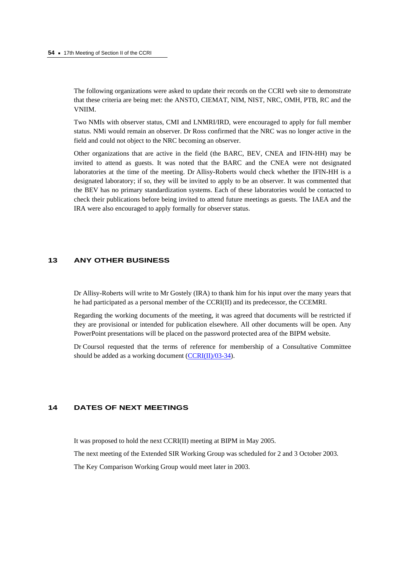The following organizations were asked to update their records on the CCRI web site to demonstrate that these criteria are being met: the ANSTO, CIEMAT, NIM, NIST, NRC, OMH, PTB, RC and the VNIIM.

Two NMIs with observer status, CMI and LNMRI/IRD, were encouraged to apply for full member status. NMi would remain an observer. Dr Ross confirmed that the NRC was no longer active in the field and could not object to the NRC becoming an observer.

Other organizations that are active in the field (the BARC, BEV, CNEA and IFIN-HH) may be invited to attend as guests. It was noted that the BARC and the CNEA were not designated laboratories at the time of the meeting. Dr Allisy-Roberts would check whether the IFIN-HH is a designated laboratory; if so, they will be invited to apply to be an observer. It was commented that the BEV has no primary standardization systems. Each of these laboratories would be contacted to check their publications before being invited to attend future meetings as guests. The IAEA and the IRA were also encouraged to apply formally for observer status.

# **13 ANY OTHER BUSINESS**

Dr Allisy-Roberts will write to Mr Gostely (IRA) to thank him for his input over the many years that he had participated as a personal member of the CCRI(II) and its predecessor, the CCEMRI.

Regarding the working documents of the meeting, it was agreed that documents will be restricted if they are provisional or intended for publication elsewhere. All other documents will be open. Any PowerPoint presentations will be placed on the password protected area of the BIPM website.

Dr Coursol requested that the terms of reference for membership of a Consultative Committee should be added as a working document (CCRI(II)/03-34).

# **14 DATES OF NEXT MEETINGS**

It was proposed to hold the next CCRI(II) meeting at BIPM in May 2005.

The next meeting of the Extended SIR Working Group was scheduled for 2 and 3 October 2003.

The Key Comparison Working Group would meet later in 2003.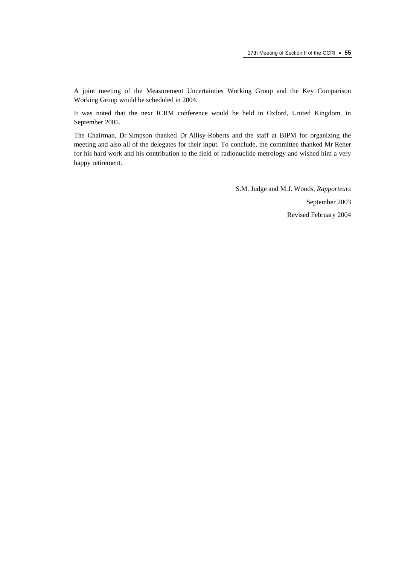A joint meeting of the Measurement Uncertainties Working Group and the Key Comparison Working Group would be scheduled in 2004.

It was noted that the next ICRM conference would be held in Oxford, United Kingdom, in September 2005.

The Chairman, Dr Simpson thanked Dr Allisy-Roberts and the staff at BIPM for organizing the meeting and also all of the delegates for their input. To conclude, the committee thanked Mr Reher for his hard work and his contribution to the field of radionuclide metrology and wished him a very happy retirement.

> S.M. Judge and M.J. Woods, *Rapporteurs* September 2003 Revised February 2004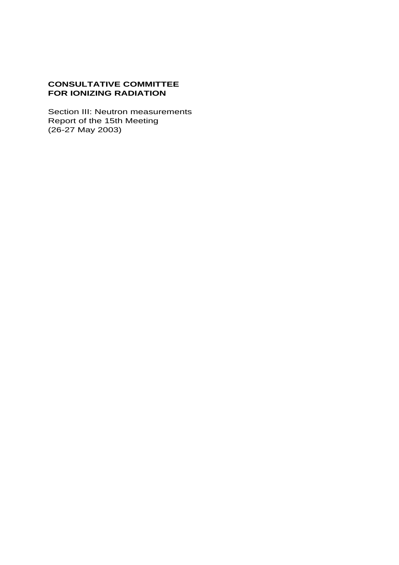# **CONSULTATIVE COMMITTEE FOR IONIZING RADIATION**

Section III: Neutron measurements Report of the 15th Meeting (26-27 May 2003)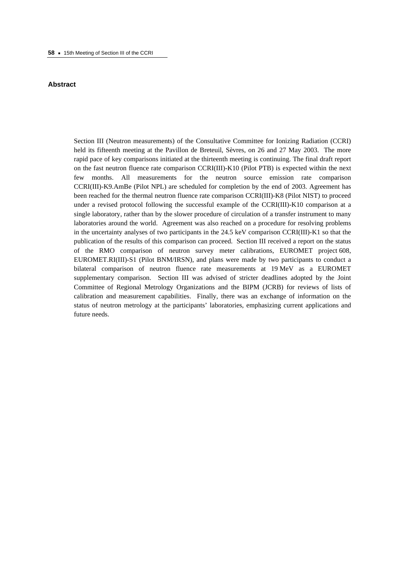### **Abstract**

Section III (Neutron measurements) of the Consultative Committee for Ionizing Radiation (CCRI) held its fifteenth meeting at the Pavillon de Breteuil, Sèvres, on 26 and 27 May 2003. The more rapid pace of key comparisons initiated at the thirteenth meeting is continuing. The final draft report on the fast neutron fluence rate comparison CCRI(III)-K10 (Pilot PTB) is expected within the next few months. All measurements for the neutron source emission rate comparison CCRI(III)-K9.AmBe (Pilot NPL) are scheduled for completion by the end of 2003. Agreement has been reached for the thermal neutron fluence rate comparison CCRI(III)-K8 (Pilot NIST) to proceed under a revised protocol following the successful example of the CCRI(III)-K10 comparison at a single laboratory, rather than by the slower procedure of circulation of a transfer instrument to many laboratories around the world. Agreement was also reached on a procedure for resolving problems in the uncertainty analyses of two participants in the 24.5 keV comparison CCRI(III)-K1 so that the publication of the results of this comparison can proceed. Section III received a report on the status of the RMO comparison of neutron survey meter calibrations, EUROMET project 608, EUROMET.RI(III)-S1 (Pilot BNM/IRSN), and plans were made by two participants to conduct a bilateral comparison of neutron fluence rate measurements at 19 MeV as a EUROMET supplementary comparison. Section III was advised of stricter deadlines adopted by the Joint Committee of Regional Metrology Organizations and the BIPM (JCRB) for reviews of lists of calibration and measurement capabilities. Finally, there was an exchange of information on the status of neutron metrology at the participants' laboratories, emphasizing current applications and future needs.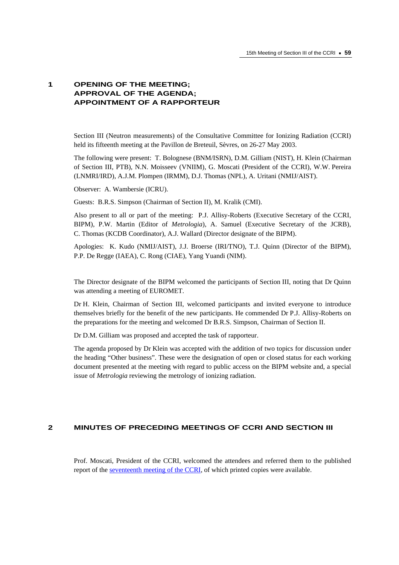# **1 OPENING OF THE MEETING; APPROVAL OF THE AGENDA; APPOINTMENT OF A RAPPORTEUR**

Section III (Neutron measurements) of the Consultative Committee for Ionizing Radiation (CCRI) held its fifteenth meeting at the Pavillon de Breteuil, Sèvres, on 26-27 May 2003.

The following were present: T. Bolognese (BNM/ISRN), D.M. Gilliam (NIST), H. Klein (Chairman of Section III, PTB), N.N. Moisseev (VNIIM), G. Moscati (President of the CCRI), W.W. Pereira (LNMRI/IRD), A.J.M. Plompen (IRMM), D.J. Thomas (NPL), A. Uritani (NMIJ/AIST).

Observer: A. Wambersie (ICRU).

Guests: B.R.S. Simpson (Chairman of Section II), M. Kralik (CMI).

Also present to all or part of the meeting: P.J. Allisy-Roberts (Executive Secretary of the CCRI, BIPM), P.W. Martin (Editor of *Metrologia*), A. Samuel (Executive Secretary of the JCRB), C. Thomas (KCDB Coordinator), A.J. Wallard (Director designate of the BIPM).

Apologies: K. Kudo (NMIJ/AIST), J.J. Broerse (IRI/TNO), T.J. Quinn (Director of the BIPM), P.P. De Regge (IAEA), C. Rong (CIAE), Yang Yuandi (NIM).

The Director designate of the BIPM welcomed the participants of Section III, noting that Dr Quinn was attending a meeting of EUROMET.

Dr H. Klein, Chairman of Section III, welcomed participants and invited everyone to introduce themselves briefly for the benefit of the new participants. He commended Dr P.J. Allisy-Roberts on the preparations for the meeting and welcomed Dr B.R.S. Simpson, Chairman of Section II.

Dr D.M. Gilliam was proposed and accepted the task of rapporteur.

The agenda proposed by Dr Klein was accepted with the addition of two topics for discussion under the heading "Other business". These were the designation of open or closed status for each working document presented at the meeting with regard to public access on the BIPM website and, a special issue of *Metrologia* reviewing the metrology of ionizing radiation.

### **2 MINUTES OF PRECEDING MEETINGS OF CCRI AND SECTION III**

Prof. Moscati, President of the CCRI, welcomed the attendees and referred them to the published report of the [seventeenth meeting of the CCRI,](https://www.bipm.org/en/committees/cc/ccri/publications_cc.html) of which printed copies were available.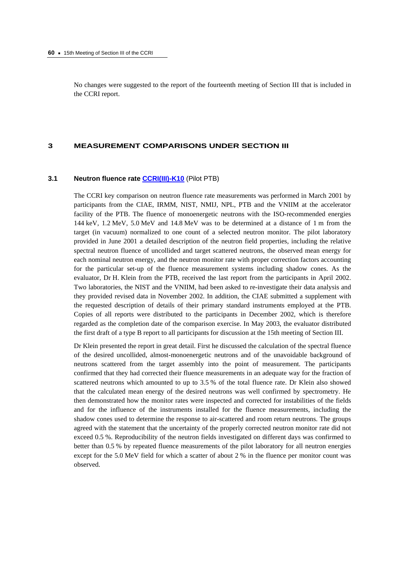No changes were suggested to the report of the fourteenth meeting of Section III that is included in the CCRI report.

### **3 MEASUREMENT COMPARISONS UNDER SECTION III**

#### **3.1 Neutron fluence rate [CCRI\(III\)-K10](http://kcdb.bipm.org//AppendixB/KCDB_ApB_info.asp?cmp_idy=370&cmp_cod=CCRI%28III%29%2DK10&page=5&search=1&cmp_cod_search=&met_idy=4&bra_idy=19&epo_idy=0&cmt_idy=1&ett_idy_org=0&lab_idy=0)** (Pilot PTB)

The CCRI key comparison on neutron fluence rate measurements was performed in March 2001 by participants from the CIAE, IRMM, NIST, NMIJ, NPL, PTB and the VNIIM at the accelerator facility of the PTB. The fluence of monoenergetic neutrons with the ISO-recommended energies 144 keV, 1.2 MeV, 5.0 MeV and 14.8 MeV was to be determined at a distance of 1 m from the target (in vacuum) normalized to one count of a selected neutron monitor. The pilot laboratory provided in June 2001 a detailed description of the neutron field properties, including the relative spectral neutron fluence of uncollided and target scattered neutrons, the observed mean energy for each nominal neutron energy, and the neutron monitor rate with proper correction factors accounting for the particular set-up of the fluence measurement systems including shadow cones. As the evaluator, Dr H. Klein from the PTB, received the last report from the participants in April 2002. Two laboratories, the NIST and the VNIIM, had been asked to re-investigate their data analysis and they provided revised data in November 2002. In addition, the CIAE submitted a supplement with the requested description of details of their primary standard instruments employed at the PTB. Copies of all reports were distributed to the participants in December 2002, which is therefore regarded as the completion date of the comparison exercise. In May 2003, the evaluator distributed the first draft of a type B report to all participants for discussion at the 15th meeting of Section III.

Dr Klein presented the report in great detail. First he discussed the calculation of the spectral fluence of the desired uncollided, almost-monoenergetic neutrons and of the unavoidable background of neutrons scattered from the target assembly into the point of measurement. The participants confirmed that they had corrected their fluence measurements in an adequate way for the fraction of scattered neutrons which amounted to up to 3.5 % of the total fluence rate. Dr Klein also showed that the calculated mean energy of the desired neutrons was well confirmed by spectrometry. He then demonstrated how the monitor rates were inspected and corrected for instabilities of the fields and for the influence of the instruments installed for the fluence measurements, including the shadow cones used to determine the response to air-scattered and room return neutrons. The groups agreed with the statement that the uncertainty of the properly corrected neutron monitor rate did not exceed 0.5 %. Reproducibility of the neutron fields investigated on different days was confirmed to better than 0.5 % by repeated fluence measurements of the pilot laboratory for all neutron energies except for the 5.0 MeV field for which a scatter of about 2 % in the fluence per monitor count was observed.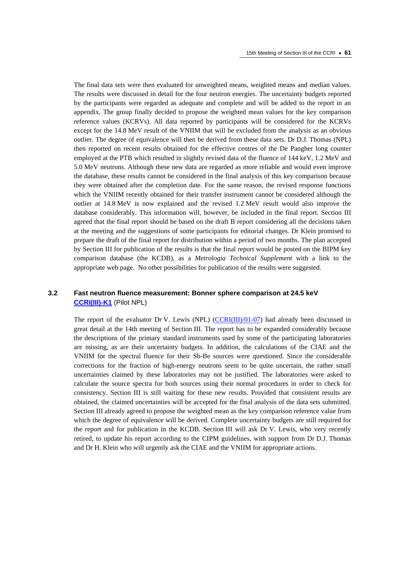The final data sets were then evaluated for unweighted means, weighted means and median values. The results were discussed in detail for the four neutron energies. The uncertainty budgets reported by the participants were regarded as adequate and complete and will be added to the report in an appendix. The group finally decided to propose the weighted mean values for the key comparison reference values (KCRVs). All data reported by participants will be considered for the KCRVs except for the 14.8 MeV result of the VNIIM that will be excluded from the analysis as an obvious outlier. The degree of equivalence will then be derived from these data sets. Dr D.J. Thomas (NPL) then reported on recent results obtained for the effective centres of the De Pangher long counter employed at the PTB which resulted in slightly revised data of the fluence of 144 keV, 1.2 MeV and 5.0 MeV neutrons. Although these new data are regarded as more reliable and would even improve the database, these results cannot be considered in the final analysis of this key comparison because they were obtained after the completion date. For the same reason, the revised response functions which the VNIIM recently obtained for their transfer instrument cannot be considered although the outlier at 14.8 MeV is now explained and the revised 1.2 MeV result would also improve the database considerably. This information will, however, be included in the final report. Section III agreed that the final report should be based on the draft B report considering all the decisions taken at the meeting and the suggestions of some participants for editorial changes. Dr Klein promised to prepare the draft of the final report for distribution within a period of two months. The plan accepted by Section III for publication of the results is that the final report would be posted on the BIPM key comparison database (the KCDB), as a *Metrologia Technical Supplement* with a link to the appropriate web page. No other possibilities for publication of the results were suggested.

## **3.2 Fast neutron fluence measurement: Bonner sphere comparison at 24.5 keV [CCRI\(III\)-K1](http://kcdb.bipm.org//AppendixB/KCDB_ApB_info.asp?cmp_idy=345&cmp_cod=CCRI%28III%29%2DK1&page=1&search=1&cmp_cod_search=&met_idy=4&bra_idy=19&epo_idy=0&cmt_idy=1&ett_idy_org=0&lab_idy=0)** (Pilot NPL)

The report of the evaluator Dr V. Lewis (NPL) [\(CCRI\(III\)/01-07\)](https://www.bipm.org/cc/CCRI(III)/Allowed/14/CCRI(III)01-07.pdf) had already been discussed in great detail at the 14th meeting of Section III. The report has to be expanded considerably because the descriptions of the primary standard instruments used by some of the participating laboratories are missing, as are their uncertainty budgets. In addition, the calculations of the CIAE and the VNIIM for the spectral fluence for their Sb-Be sources were questioned. Since the considerable corrections for the fraction of high-energy neutrons seem to be quite uncertain, the rather small uncertainties claimed by these laboratories may not be justified. The laboratories were asked to calculate the source spectra for both sources using their normal procedures in order to check for consistency. Section III is still waiting for these new results. Provided that consistent results are obtained, the claimed uncertainties will be accepted for the final analysis of the data sets submitted. Section III already agreed to propose the weighted mean as the key comparison reference value from which the degree of equivalence will be derived. Complete uncertainty budgets are still required for the report and for publication in the KCDB. Section III will ask Dr V. Lewis, who very recently retired, to update his report according to the CIPM guidelines, with support from Dr D.J. Thomas and Dr H. Klein who will urgently ask the CIAE and the VNIIM for appropriate actions.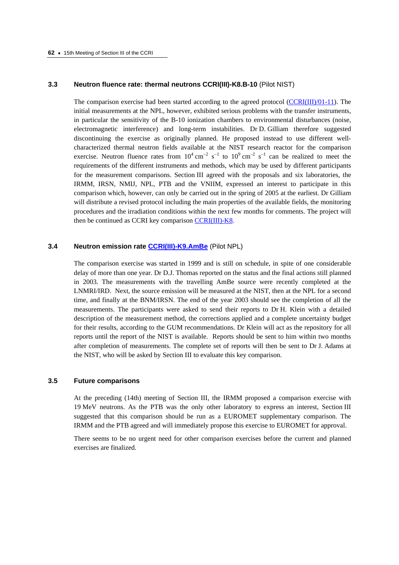#### **3.3 Neutron fluence rate: thermal neutrons CCRI(III)-K8.B-10** (Pilot NIST)

The comparison exercise had been started according to the agreed protoco[l \(CCRI\(III\)/01-11\). T](https://www.bipm.org/cc/CCRI(III)/Allowed/14/CCRI(III)01-11.pdf)he initial measurements at the NPL, however, exhibited serious problems with the transfer instruments, in particular the sensitivity of the B-10 ionization chambers to environmental disturbances (noise, electromagnetic interference) and long-term instabilities. Dr D. Gilliam therefore suggested discontinuing the exercise as originally planned. He proposed instead to use different wellcharacterized thermal neutron fields available at the NIST research reactor for the comparison exercise. Neutron fluence rates from  $10^4 \text{ cm}^{-2} \text{ s}^{-1}$  to  $10^9 \text{ cm}^{-2} \text{ s}^{-1}$  can be realized to meet the requirements of the different instruments and methods, which may be used by different participants for the measurement comparisons. Section III agreed with the proposals and six laboratories, the IRMM, IRSN, NMIJ, NPL, PTB and the VNIIM, expressed an interest to participate in this comparison which, however, can only be carried out in the spring of 2005 at the earliest. Dr Gilliam will distribute a revised protocol including the main properties of the available fields, the monitoring procedures and the irradiation conditions within the next few months for comments. The project will then be continued as CCRI key compariso[n CCRI\(III\)-K8.](http://kcdb.bipm.org//AppendixB/KCDB_ApB_info.asp?cmp_idy=367&cmp_cod=CCRI%28III%29%2DK8&page=4&search=1&cmp_cod_search=&met_idy=4&bra_idy=19&epo_idy=0&cmt_idy=1&ett_idy_org=0&lab_idy=0) 

## **3.4 Neutron emission rat[e CCRI\(III\)-K9.AmBe](http://kcdb.bipm.org//AppendixB/KCDB_ApB_info.asp?cmp_idy=368&cmp_cod=CCRI%28III%29%2DK9%2EAmBe&page=5&search=1&cmp_cod_search=&met_idy=4&bra_idy=19&epo_idy=0&cmt_idy=1&ett_idy_org=0&lab_idy=0)** (Pilot NPL)

The comparison exercise was started in 1999 and is still on schedule, in spite of one considerable delay of more than one year. Dr D.J. Thomas reported on the status and the final actions still planned in 2003. The measurements with the travelling AmBe source were recently completed at the LNMRI/IRD. Next, the source emission will be measured at the NIST, then at the NPL for a second time, and finally at the BNM/IRSN. The end of the year 2003 should see the completion of all the measurements. The participants were asked to send their reports to Dr H. Klein with a detailed description of the measurement method, the corrections applied and a complete uncertainty budget for their results, according to the GUM recommendations. Dr Klein will act as the repository for all reports until the report of the NIST is available. Reports should be sent to him within two months after completion of measurements. The complete set of reports will then be sent to Dr J. Adams at the NIST, who will be asked by Section III to evaluate this key comparison.

### **3.5 Future comparisons**

At the preceding (14th) meeting of Section III, the IRMM proposed a comparison exercise with 19 MeV neutrons. As the PTB was the only other laboratory to express an interest, Section III suggested that this comparison should be run as a EUROMET supplementary comparison. The IRMM and the PTB agreed and will immediately propose this exercise to EUROMET for approval.

There seems to be no urgent need for other comparison exercises before the current and planned exercises are finalized.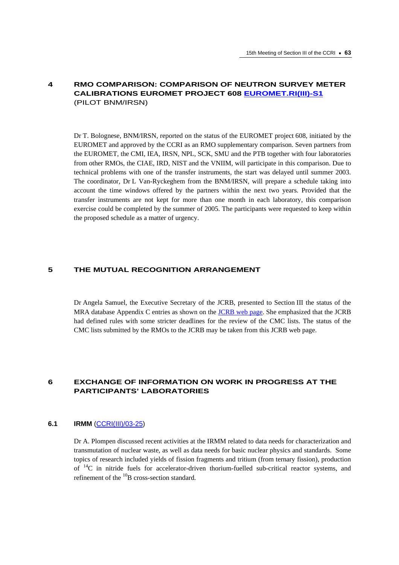# **4 RMO COMPARISON: COMPARISON OF NEUTRON SURVEY METER CALIBRATIONS EUROMET PROJECT 608 [EUROMET.RI\(III\)-S1](http://kcdb.bipm.org//AppendixB/KCDB_ApB_info.asp?cmp_idy=581&cmp_cod=EUROMET%2ERI%28III%29%2DS1&page=1&search=2&cmp_cod_search=EUROMET%2ERI%28III%29%2DS1&met_idy=&bra_idy=&epo_idy=&cmt_idy=&ett_idy_org=&lab_idy=)** (PILOT BNM/IRSN)

Dr T. Bolognese, BNM/IRSN, reported on the status of the EUROMET project 608, initiated by the EUROMET and approved by the CCRI as an RMO supplementary comparison. Seven partners from the EUROMET, the CMI, IEA, IRSN, NPL, SCK, SMU and the PTB together with four laboratories from other RMOs, the CIAE, IRD, NIST and the VNIIM, will participate in this comparison. Due to technical problems with one of the transfer instruments, the start was delayed until summer 2003. The coordinator, Dr L Van-Ryckeghem from the BNM/IRSN, will prepare a schedule taking into account the time windows offered by the partners within the next two years. Provided that the transfer instruments are not kept for more than one month in each laboratory, this comparison exercise could be completed by the summer of 2005. The participants were requested to keep within the proposed schedule as a matter of urgency.

### **5 THE MUTUAL RECOGNITION ARRANGEMENT**

Dr Angela Samuel, the Executive Secretary of the JCRB, presented to Section III the status of the MRA database Appendix C entries as shown on the [JCRB web page.](https://www.bipm.org/en/committees/jc/jcrb/) She emphasized that the JCRB had defined rules with some stricter deadlines for the review of the CMC lists. The status of the CMC lists submitted by the RMOs to the JCRB may be taken from this JCRB web page.

# **6 EXCHANGE OF INFORMATION ON WORK IN PROGRESS AT THE PARTICIPANTS' LABORATORIES**

### **6.1 IRMM** [\(CCRI\(III\)/03-25\)](https://www.bipm.org/cc/CCRI(III)/Allowed/15/CCRI(III)03-25.pdf)

Dr A. Plompen discussed recent activities at the IRMM related to data needs for characterization and transmutation of nuclear waste, as well as data needs for basic nuclear physics and standards. Some topics of research included yields of fission fragments and tritium (from ternary fission), production of 14C in nitride fuels for accelerator-driven thorium-fuelled sub-critical reactor systems, and refinement of the  $^{10}$ B cross-section standard.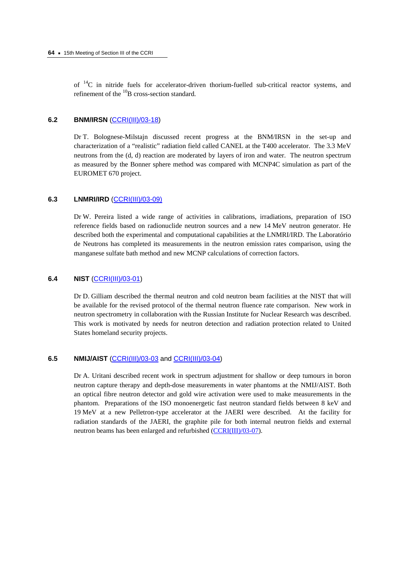of  ${}^{14}C$  in nitride fuels for accelerator-driven thorium-fuelled sub-critical reactor systems, and refinement of the  $^{10}$ B cross-section standard.

### **6.2 BNM/IRSN** [\(CCRI\(III\)/03-18\)](https://www.bipm.org/cc/CCRI(III)/Allowed/15/CCRI(III)03-18.pdf)

Dr T. Bolognese-Milstajn discussed recent progress at the BNM/IRSN in the set-up and characterization of a "realistic" radiation field called CANEL at the T400 accelerator. The 3.3 MeV neutrons from the (d, d) reaction are moderated by layers of iron and water. The neutron spectrum as measured by the Bonner sphere method was compared with MCNP4C simulation as part of the EUROMET 670 project.

### **6.3 LNMRI/IRD** [\(CCRI\(III\)/03-09\)](https://www.bipm.org/cc/CCRI(III)/Allowed/15/CCRI(III)03-09.pdf)

Dr W. Pereira listed a wide range of activities in calibrations, irradiations, preparation of ISO reference fields based on radionuclide neutron sources and a new 14 MeV neutron generator. He described both the experimental and computational capabilities at the LNMRI/IRD. The Laboratório de Neutrons has completed its measurements in the neutron emission rates comparison, using the manganese sulfate bath method and new MCNP calculations of correction factors.

### **6.4 NIST** [\(CCRI\(III\)/03-01\)](https://www.bipm.org/cc/CCRI(III)/Allowed/15/CCRI(III)03-01.pdf)

Dr D. Gilliam described the thermal neutron and cold neutron beam facilities at the NIST that will be available for the revised protocol of the thermal neutron fluence rate comparison. New work in neutron spectrometry in collaboration with the Russian Institute for Nuclear Research was described. This work is motivated by needs for neutron detection and radiation protection related to United States homeland security projects.

# **6.5 NMIJ/AIST** [\(CCRI\(III\)/03-03](https://www.bipm.org/cc/CCRI(III)/Allowed/15/CCRI(III)03-03.pdf) and [CCRI\(III\)/03-04\)](https://www.bipm.org/cc/CCRI(III)/Allowed/15/CCRI(III)03-04.pdf)

Dr A. Uritani described recent work in spectrum adjustment for shallow or deep tumours in boron neutron capture therapy and depth-dose measurements in water phantoms at the NMIJ/AIST. Both an optical fibre neutron detector and gold wire activation were used to make measurements in the phantom. Preparations of the ISO monoenergetic fast neutron standard fields between 8 keV and 19 MeV at a new Pelletron-type accelerator at the JAERI were described. At the facility for radiation standards of the JAERI, the graphite pile for both internal neutron fields and external neutron beams has been enlarged and refurbished [\(CCRI\(III\)/03-07\).](https://www.bipm.org/cc/CCRI(III)/Allowed/15/CCRI(III)03-07.pdf)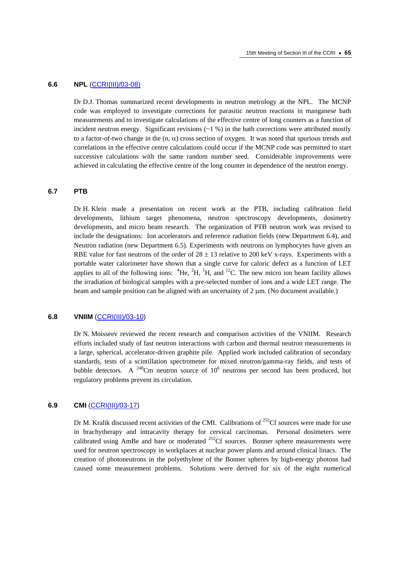#### **6.6 NPL** [\(CCRI\(III\)/03-08\)](https://www.bipm.org/cc/CCRI(III)/Allowed/15/CCRI(III)03-08.pdf)

Dr D.J. Thomas summarized recent developments in neutron metrology at the NPL. The MCNP code was employed to investigate corrections for parasitic neutron reactions in manganese bath measurements and to investigate calculations of the effective centre of long counters as a function of incident neutron energy. Significant revisions  $(21\%)$  in the bath corrections were attributed mostly to a factor-of-two change in the  $(n, \alpha)$  cross section of oxygen. It was noted that spurious trends and correlations in the effective centre calculations could occur if the MCNP code was permitted to start successive calculations with the same random number seed. Considerable improvements were achieved in calculating the effective centre of the long counter in dependence of the neutron energy.

# **6.7 PTB**

Dr H. Klein made a presentation on recent work at the PTB, including calibration field developments, lithium target phenomena, neutron spectroscopy developments, dosimetry developments, and micro beam research. The organization of PTB neutron work was revised to include the designations: Ion accelerators and reference radiation fields (new Department 6.4), and Neutron radiation (new Department 6.5). Experiments with neutrons on lymphocytes have given an RBE value for fast neutrons of the order of  $28 \pm 13$  relative to 200 keV x-rays. Experiments with a portable water calorimeter have shown that a single curve for caloric defect as a function of LET applies to all of the following ions:  ${}^{4}$ He,  ${}^{2}$ H,  ${}^{1}$ H, and  ${}^{12}$ C. The new micro ion beam facility allows the irradiation of biological samples with a pre-selected number of ions and a wide LET range. The beam and sample position can be aligned with an uncertainty of  $2 \mu$ m. (No document available.)

#### **6.8 VNIIM** [\(CCRI\(III\)/03-10\)](https://www.bipm.org/cc/CCRI(III)/Allowed/15/CCRI(III)03-10.pdf)

Dr N. Moisseev reviewed the recent research and comparison activities of the VNIIM. Research efforts included study of fast neutron interactions with carbon and thermal neutron measurements in a large, spherical, accelerator-driven graphite pile. Applied work included calibration of secondary standards, tests of a scintillation spectrometer for mixed neutron/gamma-ray fields, and tests of bubble detectors. A <sup>248</sup>Cm neutron source of  $10^6$  neutrons per second has been produced, but regulatory problems prevent its circulation.

### **6.9 CMI** [\(CCRI\(III\)/03-17\)](https://www.bipm.org/cc/CCRI(III)/Allowed/15/CCRI(III)03-17.pdf)

Dr M. Kralik discussed recent activities of the CMI. Calibrations of  $^{252}$ Cf sources were made for use in brachytherapy and intracavity therapy for cervical carcinomas. Personal dosimeters were calibrated using AmBe and bare or moderated <sup>252</sup>Cf sources. Bonner sphere measurements were used for neutron spectroscopy in workplaces at nuclear power plants and around clinical linacs. The creation of photoneutrons in the polyethylene of the Bonner spheres by high-energy photons had caused some measurement problems. Solutions were derived for six of the eight numerical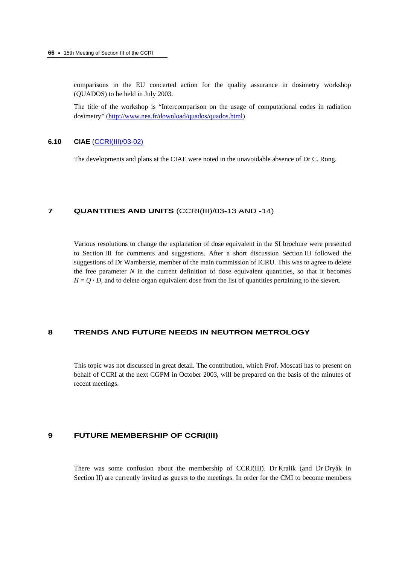comparisons in the EU concerted action for the quality assurance in dosimetry workshop (QUADOS) to be held in July 2003.

The title of the workshop is "Intercomparison on the usage of computational codes in radiation dosimetry" ([http://www.nea.fr/download/quados/quados.html\)](http://www.nea.fr/download/quados/quados.html)

### **6.10 CIAE** [\(CCRI\(III\)/03-02\)](https://www.bipm.org/cc/CCRI(III)/Allowed/15/CCRI(III)03-02.pdf)

The developments and plans at the CIAE were noted in the unavoidable absence of Dr C. Rong.

# **7 QUANTITIES AND UNITS** (CCRI(III)/03-13 AND -14)

Various resolutions to change the explanation of dose equivalent in the SI brochure were presented to Section III for comments and suggestions. After a short discussion Section III followed the suggestions of Dr Wambersie, member of the main commission of ICRU. This was to agree to delete the free parameter  $N$  in the current definition of dose equivalent quantities, so that it becomes  $H = Q \cdot D$ , and to delete organ equivalent dose from the list of quantities pertaining to the sievert.

# **8 TRENDS AND FUTURE NEEDS IN NEUTRON METROLOGY**

This topic was not discussed in great detail. The contribution, which Prof. Moscati has to present on behalf of CCRI at the next CGPM in October 2003, will be prepared on the basis of the minutes of recent meetings.

### **9 FUTURE MEMBERSHIP OF CCRI(III)**

There was some confusion about the membership of CCRI(III). Dr Kralik (and Dr Dryák in Section II) are currently invited as guests to the meetings. In order for the CMI to become members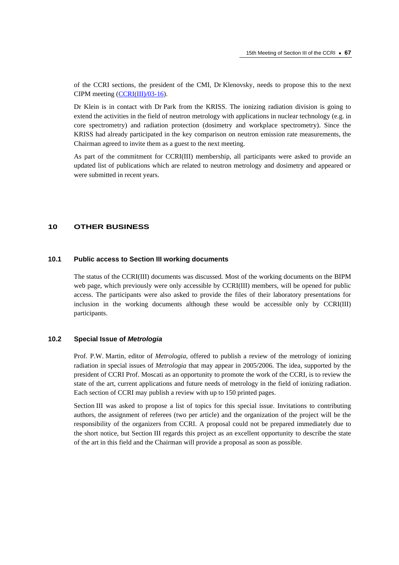of the CCRI sections, the president of the CMI, Dr Klenovsky, needs to propose this to the next CIPM meetin[g \(CCRI\(III\)/03-16\).](https://www.bipm.org/cc/CCRI(III)/Allowed/15/CCRI(III)03-16.pdf) 

Dr Klein is in contact with Dr Park from the KRISS. The ionizing radiation division is going to extend the activities in the field of neutron metrology with applications in nuclear technology (e.g. in core spectrometry) and radiation protection (dosimetry and workplace spectrometry). Since the KRISS had already participated in the key comparison on neutron emission rate measurements, the Chairman agreed to invite them as a guest to the next meeting.

As part of the commitment for CCRI(III) membership, all participants were asked to provide an updated list of publications which are related to neutron metrology and dosimetry and appeared or were submitted in recent years.

### **10 OTHER BUSINESS**

# **10.1 Public access to Section III working documents**

The status of the CCRI(III) documents was discussed. Most of the working documents on the BIPM web page, which previously were only accessible by CCRI(III) members, will be opened for public access. The participants were also asked to provide the files of their laboratory presentations for inclusion in the working documents although these would be accessible only by CCRI(III) participants.

### **10.2 Special Issue of** *Metrologia*

Prof. P.W. Martin, editor of *Metrologia*, offered to publish a review of the metrology of ionizing radiation in special issues of *Metrologia* that may appear in 2005/2006. The idea, supported by the president of CCRI Prof. Moscati as an opportunity to promote the work of the CCRI, is to review the state of the art, current applications and future needs of metrology in the field of ionizing radiation. Each section of CCRI may publish a review with up to 150 printed pages.

Section III was asked to propose a list of topics for this special issue. Invitations to contributing authors, the assignment of referees (two per article) and the organization of the project will be the responsibility of the organizers from CCRI. A proposal could not be prepared immediately due to the short notice, but Section III regards this project as an excellent opportunity to describe the state of the art in this field and the Chairman will provide a proposal as soon as possible.